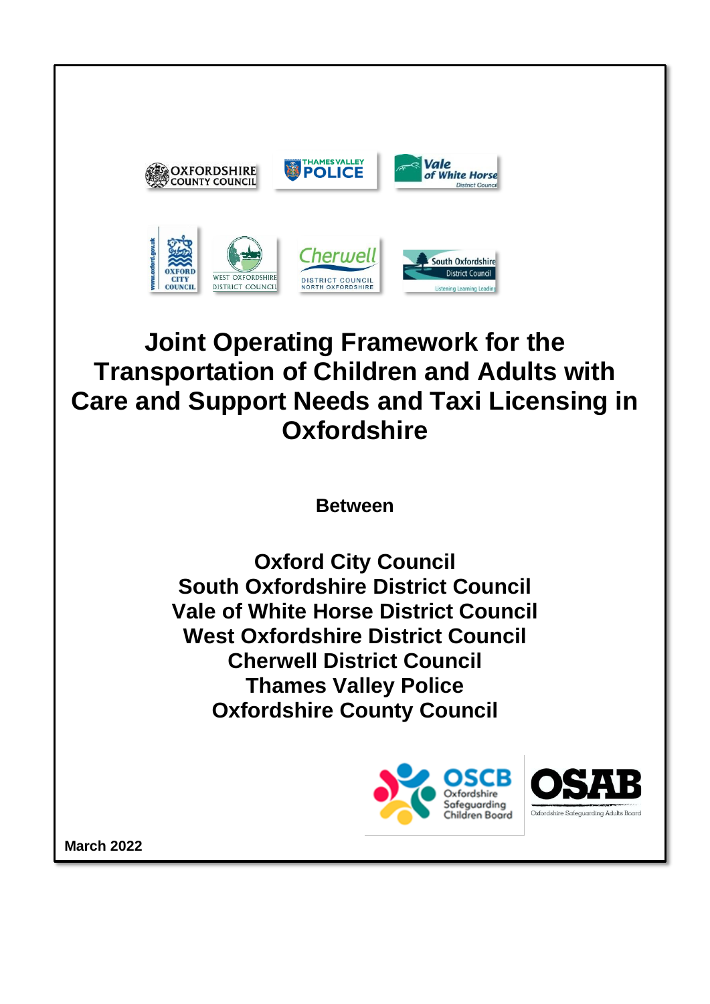

# **Joint Operating Framework for the Transportation of Children and Adults with Care and Support Needs and Taxi Licensing in Oxfordshire**

**Between**

**Oxford City Council South Oxfordshire District Council Vale of White Horse District Council West Oxfordshire District Council Cherwell District Council Thames Valley Police Oxfordshire County Council**



**March 2022**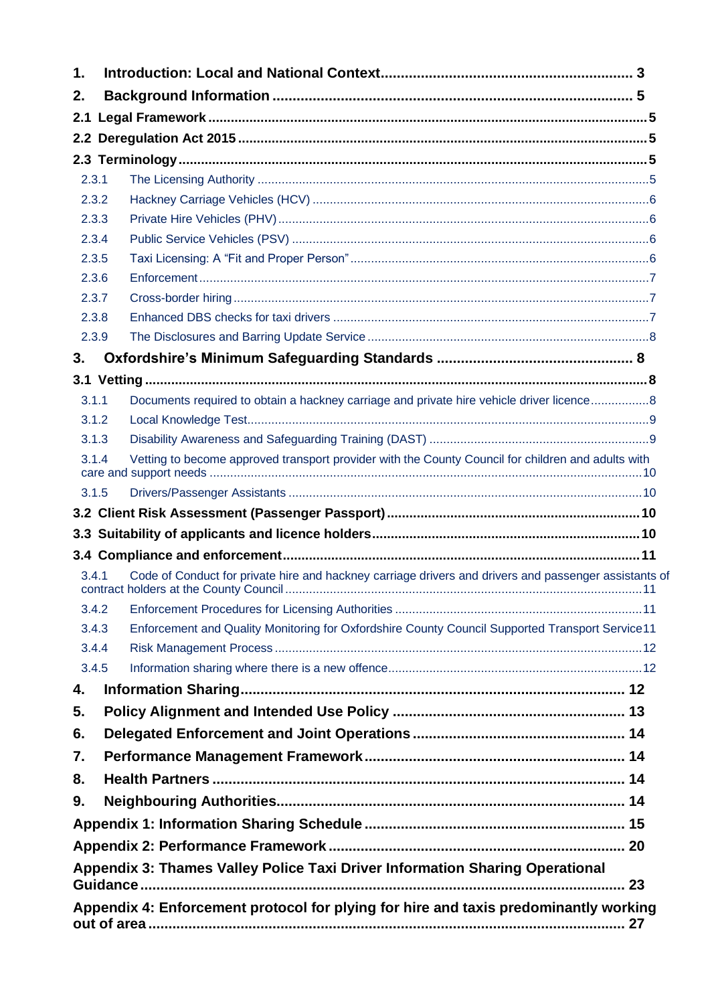| 1.  |       |                                                                                                       |  |  |
|-----|-------|-------------------------------------------------------------------------------------------------------|--|--|
| 2.  |       |                                                                                                       |  |  |
| 2.1 |       |                                                                                                       |  |  |
| 2.2 |       |                                                                                                       |  |  |
|     |       |                                                                                                       |  |  |
|     | 2.3.1 |                                                                                                       |  |  |
|     | 2.3.2 |                                                                                                       |  |  |
|     | 2.3.3 |                                                                                                       |  |  |
|     | 2.3.4 |                                                                                                       |  |  |
|     | 2.3.5 |                                                                                                       |  |  |
|     | 2.3.6 |                                                                                                       |  |  |
|     | 2.3.7 |                                                                                                       |  |  |
|     | 2.3.8 |                                                                                                       |  |  |
|     | 2.3.9 |                                                                                                       |  |  |
| 3.  |       |                                                                                                       |  |  |
|     |       |                                                                                                       |  |  |
|     | 3.1.1 | Documents required to obtain a hackney carriage and private hire vehicle driver licence8              |  |  |
|     | 3.1.2 |                                                                                                       |  |  |
|     | 3.1.3 |                                                                                                       |  |  |
|     | 3.1.4 | Vetting to become approved transport provider with the County Council for children and adults with    |  |  |
|     | 3.1.5 |                                                                                                       |  |  |
|     |       |                                                                                                       |  |  |
|     |       |                                                                                                       |  |  |
|     |       |                                                                                                       |  |  |
|     | 341   | Code of Conduct for private hire and hackney carriage drivers and drivers and passenger assistants of |  |  |
|     | 3.4.2 |                                                                                                       |  |  |
|     | 3.4.3 | Enforcement and Quality Monitoring for Oxfordshire County Council Supported Transport Service11       |  |  |
|     | 3.4.4 |                                                                                                       |  |  |
|     | 3.4.5 |                                                                                                       |  |  |
| 4.  |       |                                                                                                       |  |  |
| 5.  |       |                                                                                                       |  |  |
| 6.  |       |                                                                                                       |  |  |
| 7.  |       |                                                                                                       |  |  |
| 8.  |       |                                                                                                       |  |  |
| 9.  |       |                                                                                                       |  |  |
|     |       |                                                                                                       |  |  |
|     |       |                                                                                                       |  |  |
|     |       |                                                                                                       |  |  |
|     |       | Appendix 3: Thames Valley Police Taxi Driver Information Sharing Operational                          |  |  |
|     |       | Appendix 4: Enforcement protocol for plying for hire and taxis predominantly working                  |  |  |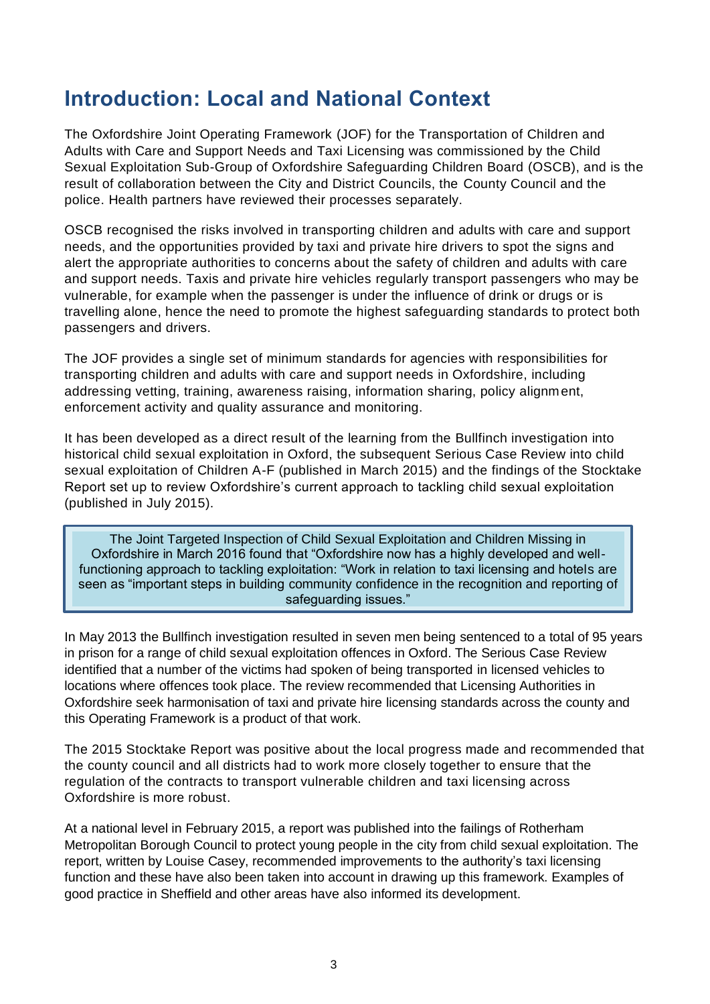### <span id="page-2-0"></span>**Introduction: Local and National Context**

The Oxfordshire Joint Operating Framework (JOF) for the Transportation of Children and Adults with Care and Support Needs and Taxi Licensing was commissioned by the Child Sexual Exploitation Sub-Group of Oxfordshire Safeguarding Children Board (OSCB), and is the result of collaboration between the City and District Councils, the County Council and the police. Health partners have reviewed their processes separately.

OSCB recognised the risks involved in transporting children and adults with care and support needs, and the opportunities provided by taxi and private hire drivers to spot the signs and alert the appropriate authorities to concerns about the safety of children and adults with care and support needs. Taxis and private hire vehicles regularly transport passengers who may be vulnerable, for example when the passenger is under the influence of drink or drugs or is travelling alone, hence the need to promote the highest safeguarding standards to protect both passengers and drivers.

The JOF provides a single set of minimum standards for agencies with responsibilities for transporting children and adults with care and support needs in Oxfordshire, including addressing vetting, training, awareness raising, information sharing, policy alignment, enforcement activity and quality assurance and monitoring.

It has been developed as a direct result of the learning from the Bullfinch investigation into historical child sexual exploitation in Oxford, the subsequent Serious Case Review into child sexual exploitation of Children A-F (published in March 2015) and the findings of the Stocktake Report set up to review Oxfordshire's current approach to tackling child sexual exploitation (published in July 2015).

The Joint Targeted Inspection of Child Sexual Exploitation and Children Missing in Oxfordshire in March 2016 found that "Oxfordshire now has a highly developed and wellfunctioning approach to tackling exploitation: "Work in relation to taxi licensing and hotels are seen as "important steps in building community confidence in the recognition and reporting of safeguarding issues."

In May 2013 the Bullfinch investigation resulted in seven men being sentenced to a total of 95 years in prison for a range of child sexual exploitation offences in Oxford. The Serious Case Review identified that a number of the victims had spoken of being transported in licensed vehicles to locations where offences took place. The review recommended that Licensing Authorities in Oxfordshire seek harmonisation of taxi and private hire licensing standards across the county and this Operating Framework is a product of that work.

The 2015 Stocktake Report was positive about the local progress made and recommended that the county council and all districts had to work more closely together to ensure that the regulation of the contracts to transport vulnerable children and taxi licensing across Oxfordshire is more robust.

At a national level in February 2015, a report was published into the failings of Rotherham Metropolitan Borough Council to protect young people in the city from child sexual exploitation. The report, written by Louise Casey, recommended improvements to the authority's taxi licensing function and these have also been taken into account in drawing up this framework. Examples of good practice in Sheffield and other areas have also informed its development.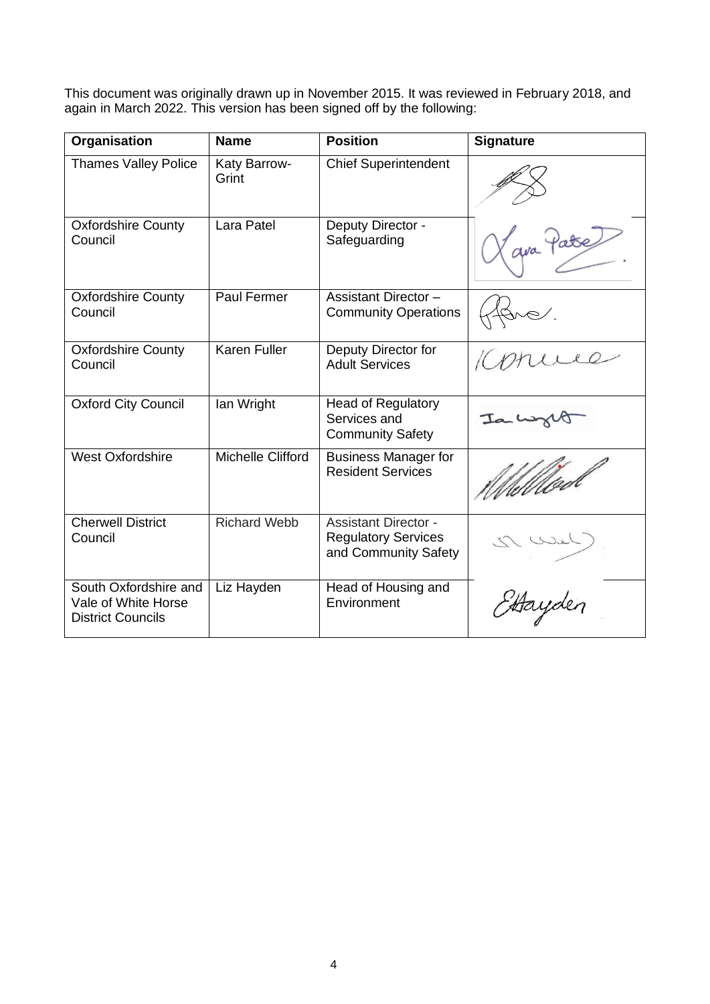This document was originally drawn up in November 2015. It was reviewed in February 2018, and again in March 2022. This version has been signed off by the following:

<span id="page-3-0"></span>

| Organisation                                                             | <b>Name</b>           | <b>Position</b>                                                                   | <b>Signature</b> |
|--------------------------------------------------------------------------|-----------------------|-----------------------------------------------------------------------------------|------------------|
| <b>Thames Valley Police</b>                                              | Katy Barrow-<br>Grint | <b>Chief Superintendent</b>                                                       |                  |
| <b>Oxfordshire County</b><br>Council                                     | Lara Patel            | Deputy Director -<br>Safeguarding                                                 | Y qua Patre      |
| <b>Oxfordshire County</b><br>Council                                     | Paul Fermer           | <b>Assistant Director-</b><br><b>Community Operations</b>                         | $\sim$           |
| <b>Oxfordshire County</b><br>Council                                     | <b>Karen Fuller</b>   | Deputy Director for<br><b>Adult Services</b>                                      |                  |
| <b>Oxford City Council</b>                                               | lan Wright            | <b>Head of Regulatory</b><br>Services and<br><b>Community Safety</b>              |                  |
| <b>West Oxfordshire</b>                                                  | Michelle Clifford     | <b>Business Manager for</b><br><b>Resident Services</b>                           |                  |
| <b>Cherwell District</b><br>Council                                      | <b>Richard Webb</b>   | <b>Assistant Director -</b><br><b>Regulatory Services</b><br>and Community Safety |                  |
| South Oxfordshire and<br>Vale of White Horse<br><b>District Councils</b> | Liz Hayden            | Head of Housing and<br>Environment                                                |                  |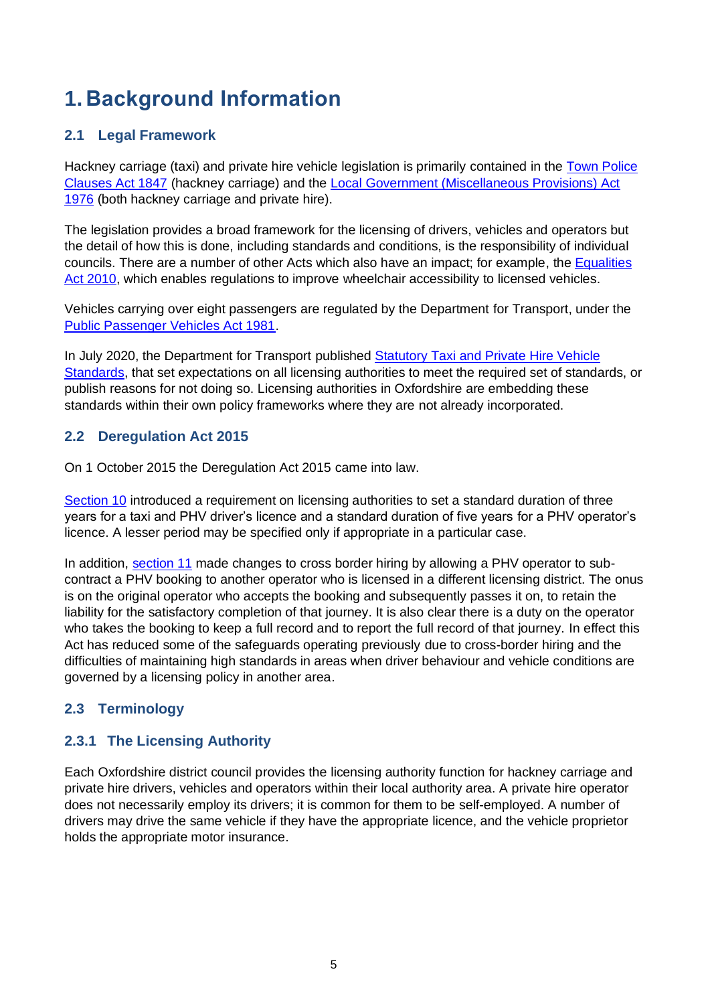## **1. Background Information**

### <span id="page-4-0"></span>**2.1 Legal Framework**

Hackney carriage (taxi) and private hire vehicle legislation is primarily contained in the [Town Police](https://www.legislation.gov.uk/ukpga/Vict/10-11/89)  [Clauses Act 1847](https://www.legislation.gov.uk/ukpga/Vict/10-11/89) (hackney carriage) and the [Local Government \(Miscellaneous Provisions\) Act](https://www.legislation.gov.uk/ukpga/1976/57/part/II)  [1976](https://www.legislation.gov.uk/ukpga/1976/57/part/II) (both hackney carriage and private hire).

The legislation provides a broad framework for the licensing of drivers, vehicles and operators but the detail of how this is done, including standards and conditions, is the responsibility of individual councils. There are a number of other Acts which also have an impact; for example, the [Equalities](https://www.legislation.gov.uk/ukpga/2010/15/part/12/chapter/1)  [Act 2010,](https://www.legislation.gov.uk/ukpga/2010/15/part/12/chapter/1) which enables regulations to improve wheelchair accessibility to licensed vehicles.

Vehicles carrying over eight passengers are regulated by the Department for Transport, under the [Public Passenger Vehicles Act 1981.](https://www.legislation.gov.uk/ukpga/1981/14/contents)

In July 2020, the Department for Transport published [Statutory Taxi and Private Hire Vehicle](https://www.gov.uk/government/publications/statutory-taxi-and-private-hire-vehicle-standards)  [Standards,](https://www.gov.uk/government/publications/statutory-taxi-and-private-hire-vehicle-standards) that set expectations on all licensing authorities to meet the required set of standards, or publish reasons for not doing so. Licensing authorities in Oxfordshire are embedding these standards within their own policy frameworks where they are not already incorporated.

### <span id="page-4-1"></span>**2.2 Deregulation Act 2015**

On 1 October 2015 the Deregulation Act 2015 came into law.

[Section 10](https://www.legislation.gov.uk/ukpga/2015/20/section/10/enacted) introduced a requirement on licensing authorities to set a standard duration of three years for a taxi and PHV driver's licence and a standard duration of five years for a PHV operator's licence. A lesser period may be specified only if appropriate in a particular case.

In addition, [section 11](https://www.legislation.gov.uk/ukpga/2015/20/section/11/enacted) made changes to cross border hiring by allowing a PHV operator to subcontract a PHV booking to another operator who is licensed in a different licensing district. The onus is on the original operator who accepts the booking and subsequently passes it on, to retain the liability for the satisfactory completion of that journey. It is also clear there is a duty on the operator who takes the booking to keep a full record and to report the full record of that journey. In effect this Act has reduced some of the safeguards operating previously due to cross-border hiring and the difficulties of maintaining high standards in areas when driver behaviour and vehicle conditions are governed by a licensing policy in another area.

### <span id="page-4-2"></span>**2.3 Terminology**

### <span id="page-4-3"></span>**2.3.1 The Licensing Authority**

Each Oxfordshire district council provides the licensing authority function for hackney carriage and private hire drivers, vehicles and operators within their local authority area. A private hire operator does not necessarily employ its drivers; it is common for them to be self-employed. A number of drivers may drive the same vehicle if they have the appropriate licence, and the vehicle proprietor holds the appropriate motor insurance.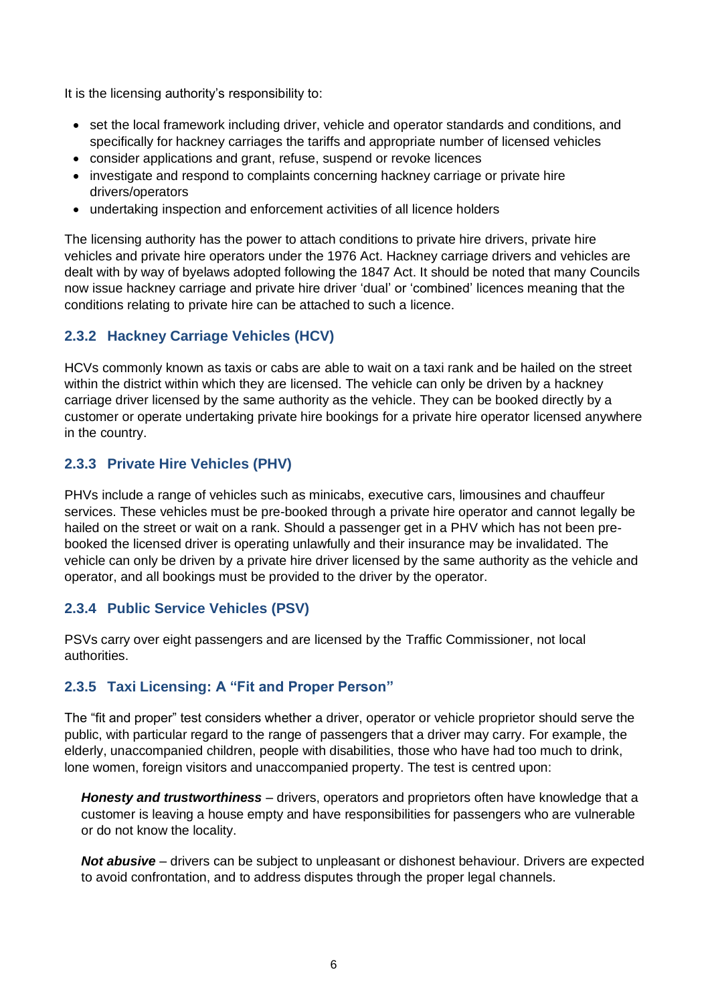It is the licensing authority's responsibility to:

- set the local framework including driver, vehicle and operator standards and conditions, and specifically for hackney carriages the tariffs and appropriate number of licensed vehicles
- consider applications and grant, refuse, suspend or revoke licences
- investigate and respond to complaints concerning hackney carriage or private hire drivers/operators
- undertaking inspection and enforcement activities of all licence holders

The licensing authority has the power to attach conditions to private hire drivers, private hire vehicles and private hire operators under the 1976 Act. Hackney carriage drivers and vehicles are dealt with by way of byelaws adopted following the 1847 Act. It should be noted that many Councils now issue hackney carriage and private hire driver 'dual' or 'combined' licences meaning that the conditions relating to private hire can be attached to such a licence.

### <span id="page-5-0"></span>**2.3.2 Hackney Carriage Vehicles (HCV)**

HCVs commonly known as taxis or cabs are able to wait on a taxi rank and be hailed on the street within the district within which they are licensed. The vehicle can only be driven by a hackney carriage driver licensed by the same authority as the vehicle. They can be booked directly by a customer or operate undertaking private hire bookings for a private hire operator licensed anywhere in the country.

### <span id="page-5-1"></span>**2.3.3 Private Hire Vehicles (PHV)**

PHVs include a range of vehicles such as minicabs, executive cars, limousines and chauffeur services. These vehicles must be pre-booked through a private hire operator and cannot legally be hailed on the street or wait on a rank. Should a passenger get in a PHV which has not been prebooked the licensed driver is operating unlawfully and their insurance may be invalidated. The vehicle can only be driven by a private hire driver licensed by the same authority as the vehicle and operator, and all bookings must be provided to the driver by the operator.

#### <span id="page-5-2"></span>**2.3.4 Public Service Vehicles (PSV)**

PSVs carry over eight passengers and are licensed by the Traffic Commissioner, not local authorities.

### <span id="page-5-3"></span>**2.3.5 Taxi Licensing: A "Fit and Proper Person"**

The "fit and proper" test considers whether a driver, operator or vehicle proprietor should serve the public, with particular regard to the range of passengers that a driver may carry. For example, the elderly, unaccompanied children, people with disabilities, those who have had too much to drink, lone women, foreign visitors and unaccompanied property. The test is centred upon:

*Honesty and trustworthiness* – drivers, operators and proprietors often have knowledge that a customer is leaving a house empty and have responsibilities for passengers who are vulnerable or do not know the locality.

*Not abusive* – drivers can be subject to unpleasant or dishonest behaviour. Drivers are expected to avoid confrontation, and to address disputes through the proper legal channels.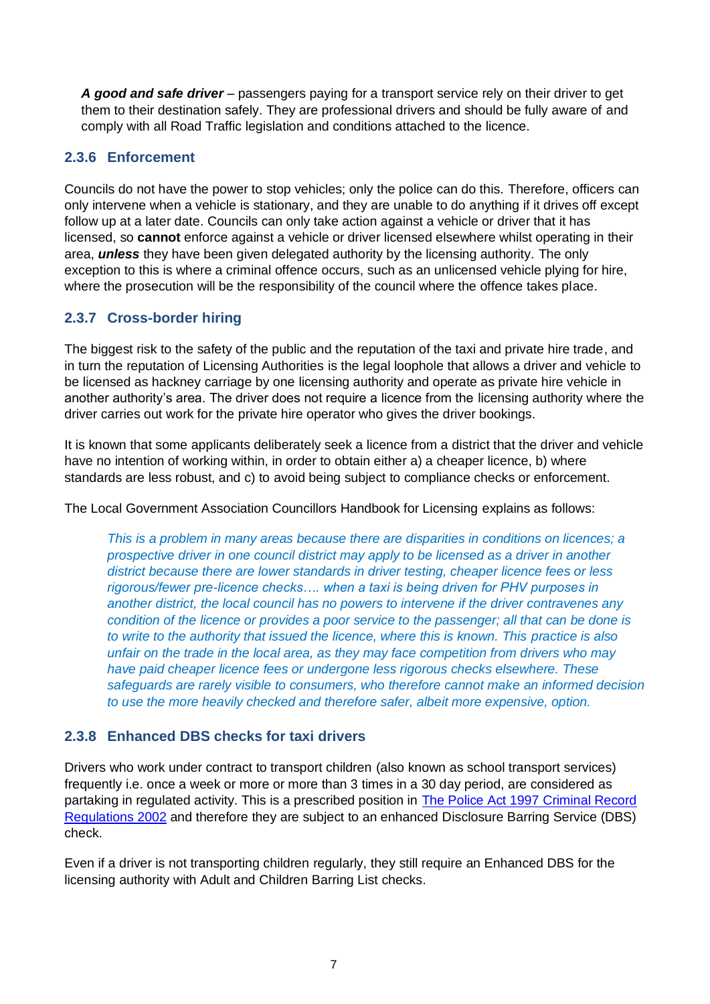*A good and safe driver* – passengers paying for a transport service rely on their driver to get them to their destination safely. They are professional drivers and should be fully aware of and comply with all Road Traffic legislation and conditions attached to the licence.

### <span id="page-6-0"></span>**2.3.6 Enforcement**

Councils do not have the power to stop vehicles; only the police can do this. Therefore, officers can only intervene when a vehicle is stationary, and they are unable to do anything if it drives off except follow up at a later date. Councils can only take action against a vehicle or driver that it has licensed, so **cannot** enforce against a vehicle or driver licensed elsewhere whilst operating in their area, *unless* they have been given delegated authority by the licensing authority. The only exception to this is where a criminal offence occurs, such as an unlicensed vehicle plying for hire, where the prosecution will be the responsibility of the council where the offence takes place.

### <span id="page-6-1"></span>**2.3.7 Cross-border hiring**

The biggest risk to the safety of the public and the reputation of the taxi and private hire trade, and in turn the reputation of Licensing Authorities is the legal loophole that allows a driver and vehicle to be licensed as hackney carriage by one licensing authority and operate as private hire vehicle in another authority's area. The driver does not require a licence from the licensing authority where the driver carries out work for the private hire operator who gives the driver bookings.

It is known that some applicants deliberately seek a licence from a district that the driver and vehicle have no intention of working within, in order to obtain either a) a cheaper licence, b) where standards are less robust, and c) to avoid being subject to compliance checks or enforcement.

The Local Government Association Councillors Handbook for Licensing explains as follows:

*This is a problem in many areas because there are disparities in conditions on licences; a prospective driver in one council district may apply to be licensed as a driver in another district because there are lower standards in driver testing, cheaper licence fees or less rigorous/fewer pre-licence checks…. when a taxi is being driven for PHV purposes in another district, the local council has no powers to intervene if the driver contravenes any condition of the licence or provides a poor service to the passenger; all that can be done is to write to the authority that issued the licence, where this is known. This practice is also unfair on the trade in the local area, as they may face competition from drivers who may have paid cheaper licence fees or undergone less rigorous checks elsewhere. These safeguards are rarely visible to consumers, who therefore cannot make an informed decision to use the more heavily checked and therefore safer, albeit more expensive, option.*

### <span id="page-6-2"></span>**2.3.8 Enhanced DBS checks for taxi drivers**

Drivers who work under contract to transport children (also known as school transport services) frequently i.e. once a week or more or more than 3 times in a 30 day period, are considered as partaking in regulated activity. This is a prescribed position in [The Police Act 1997 Criminal Record](https://www.legislation.gov.uk/uksi/2002/233/contents/made)  [Regulations 2002](https://www.legislation.gov.uk/uksi/2002/233/contents/made) and therefore they are subject to an enhanced Disclosure Barring Service (DBS) check.

Even if a driver is not transporting children regularly, they still require an Enhanced DBS for the licensing authority with Adult and Children Barring List checks.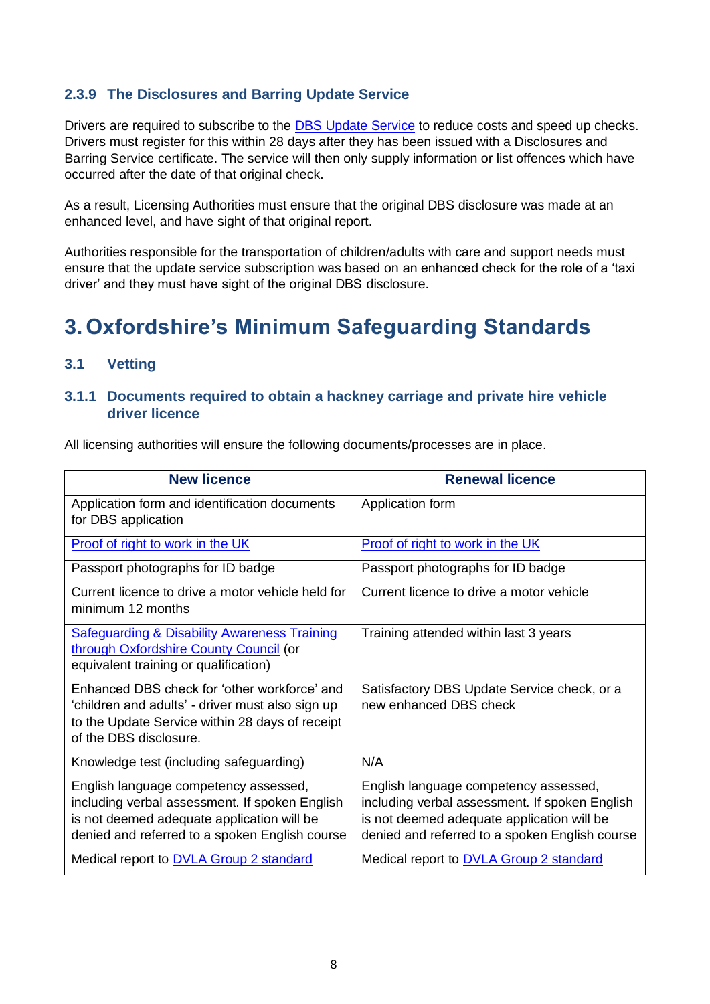### <span id="page-7-0"></span>**2.3.9 The Disclosures and Barring Update Service**

Drivers are required to subscribe to the [DBS Update Service](https://www.gov.uk/dbs-update-service) to reduce costs and speed up checks. Drivers must register for this within 28 days after they has been issued with a Disclosures and Barring Service certificate. The service will then only supply information or list offences which have occurred after the date of that original check.

As a result, Licensing Authorities must ensure that the original DBS disclosure was made at an enhanced level, and have sight of that original report.

Authorities responsible for the transportation of children/adults with care and support needs must ensure that the update service subscription was based on an enhanced check for the role of a 'taxi driver' and they must have sight of the original DBS disclosure.

### <span id="page-7-1"></span>**3.Oxfordshire's Minimum Safeguarding Standards**

### <span id="page-7-2"></span>**3.1 Vetting**

#### <span id="page-7-3"></span>**3.1.1 Documents required to obtain a hackney carriage and private hire vehicle driver licence**

All licensing authorities will ensure the following documents/processes are in place.

| <b>New licence</b>                                                                                                                                                                      | <b>Renewal licence</b>                                                                                                                                                                  |
|-----------------------------------------------------------------------------------------------------------------------------------------------------------------------------------------|-----------------------------------------------------------------------------------------------------------------------------------------------------------------------------------------|
| Application form and identification documents<br>for DBS application                                                                                                                    | Application form                                                                                                                                                                        |
| Proof of right to work in the UK                                                                                                                                                        | Proof of right to work in the UK                                                                                                                                                        |
| Passport photographs for ID badge                                                                                                                                                       | Passport photographs for ID badge                                                                                                                                                       |
| Current licence to drive a motor vehicle held for<br>minimum 12 months                                                                                                                  | Current licence to drive a motor vehicle                                                                                                                                                |
| <b>Safeguarding &amp; Disability Awareness Training</b><br>through Oxfordshire County Council (or<br>equivalent training or qualification)                                              | Training attended within last 3 years                                                                                                                                                   |
| Enhanced DBS check for 'other workforce' and<br>'children and adults' - driver must also sign up<br>to the Update Service within 28 days of receipt<br>of the DBS disclosure.           | Satisfactory DBS Update Service check, or a<br>new enhanced DBS check                                                                                                                   |
| Knowledge test (including safeguarding)                                                                                                                                                 | N/A                                                                                                                                                                                     |
| English language competency assessed,<br>including verbal assessment. If spoken English<br>is not deemed adequate application will be<br>denied and referred to a spoken English course | English language competency assessed,<br>including verbal assessment. If spoken English<br>is not deemed adequate application will be<br>denied and referred to a spoken English course |
| Medical report to <b>DVLA Group 2 standard</b>                                                                                                                                          | Medical report to <b>DVLA Group 2 standard</b>                                                                                                                                          |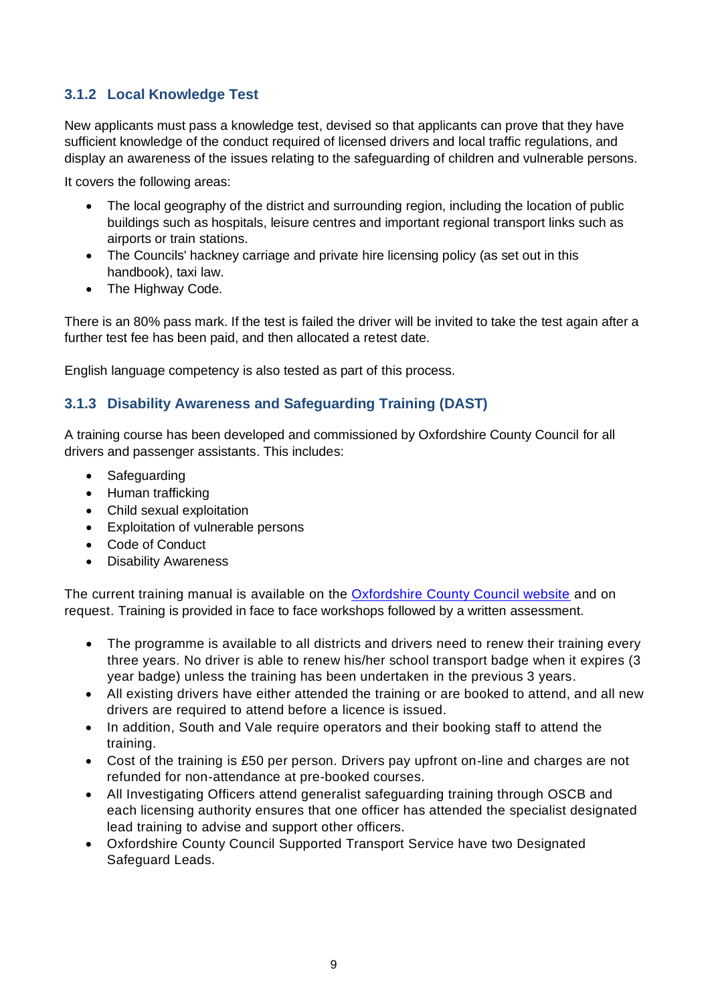### <span id="page-8-0"></span>**3.1.2 Local Knowledge Test**

New applicants must pass a knowledge test, devised so that applicants can prove that they have sufficient knowledge of the conduct required of licensed drivers and local traffic regulations, and display an awareness of the issues relating to the safeguarding of children and vulnerable persons.

It covers the following areas:

- The local geography of the district and surrounding region, including the location of public buildings such as hospitals, leisure centres and important regional transport links such as airports or train stations.
- The Councils' hackney carriage and private hire licensing policy (as set out in this handbook), taxi law.
- The Highway Code.

There is an 80% pass mark. If the test is failed the driver will be invited to take the test again after a further test fee has been paid, and then allocated a retest date.

English language competency is also tested as part of this process.

### <span id="page-8-1"></span>**3.1.3 Disability Awareness and Safeguarding Training (DAST)**

A training course has been developed and commissioned by Oxfordshire County Council for all drivers and passenger assistants. This includes:

- Safeguarding
- Human trafficking
- Child sexual exploitation
- Exploitation of vulnerable persons
- Code of Conduct
- Disability Awareness

The current training manual is available on the [Oxfordshire County Council website](https://www.oxfordshire.gov.uk/residents/roads-and-transport/public-transport/accessible-transport/safeguarding-passengers) and on request. Training is provided in face to face workshops followed by a written assessment.

- The programme is available to all districts and drivers need to renew their training every three years. No driver is able to renew his/her school transport badge when it expires (3 year badge) unless the training has been undertaken in the previous 3 years.
- All existing drivers have either attended the training or are booked to attend, and all new drivers are required to attend before a licence is issued.
- In addition, South and Vale require operators and their booking staff to attend the training.
- Cost of the training is £50 per person. Drivers pay upfront on-line and charges are not refunded for non-attendance at pre-booked courses.
- All Investigating Officers attend generalist safeguarding training through OSCB and each licensing authority ensures that one officer has attended the specialist designated lead training to advise and support other officers.
- Oxfordshire County Council Supported Transport Service have two Designated Safeguard Leads.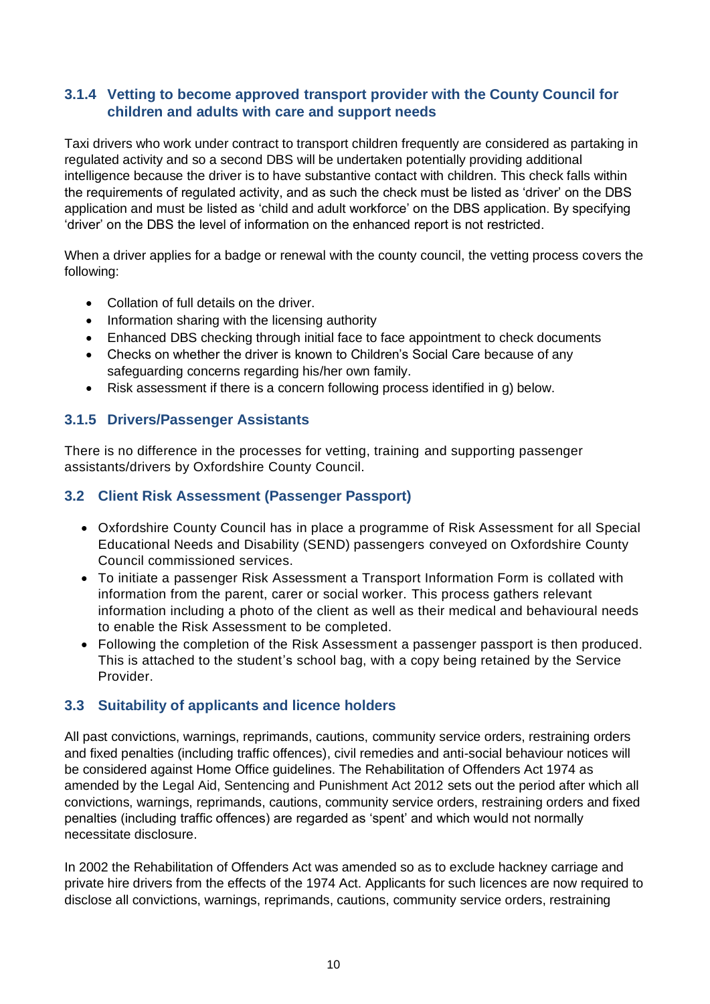### <span id="page-9-0"></span>**3.1.4 Vetting to become approved transport provider with the County Council for children and adults with care and support needs**

Taxi drivers who work under contract to transport children frequently are considered as partaking in regulated activity and so a second DBS will be undertaken potentially providing additional intelligence because the driver is to have substantive contact with children. This check falls within the requirements of regulated activity, and as such the check must be listed as 'driver' on the DBS application and must be listed as 'child and adult workforce' on the DBS application. By specifying 'driver' on the DBS the level of information on the enhanced report is not restricted.

When a driver applies for a badge or renewal with the county council, the vetting process covers the following:

- Collation of full details on the driver.
- Information sharing with the licensing authority
- Enhanced DBS checking through initial face to face appointment to check documents
- Checks on whether the driver is known to Children's Social Care because of any safeguarding concerns regarding his/her own family.
- Risk assessment if there is a concern following process identified in g) below.

### <span id="page-9-1"></span>**3.1.5 Drivers/Passenger Assistants**

There is no difference in the processes for vetting, training and supporting passenger assistants/drivers by Oxfordshire County Council.

### <span id="page-9-2"></span>**3.2 Client Risk Assessment (Passenger Passport)**

- Oxfordshire County Council has in place a programme of Risk Assessment for all Special Educational Needs and Disability (SEND) passengers conveyed on Oxfordshire County Council commissioned services.
- To initiate a passenger Risk Assessment a Transport Information Form is collated with information from the parent, carer or social worker. This process gathers relevant information including a photo of the client as well as their medical and behavioural needs to enable the Risk Assessment to be completed.
- Following the completion of the Risk Assessment a passenger passport is then produced. This is attached to the student's school bag, with a copy being retained by the Service Provider.

### <span id="page-9-3"></span>**3.3 Suitability of applicants and licence holders**

All past convictions, warnings, reprimands, cautions, community service orders, restraining orders and fixed penalties (including traffic offences), civil remedies and anti-social behaviour notices will be considered against Home Office guidelines. The Rehabilitation of Offenders Act 1974 as amended by the Legal Aid, Sentencing and Punishment Act 2012 sets out the period after which all convictions, warnings, reprimands, cautions, community service orders, restraining orders and fixed penalties (including traffic offences) are regarded as 'spent' and which would not normally necessitate disclosure.

In 2002 the Rehabilitation of Offenders Act was amended so as to exclude hackney carriage and private hire drivers from the effects of the 1974 Act. Applicants for such licences are now required to disclose all convictions, warnings, reprimands, cautions, community service orders, restraining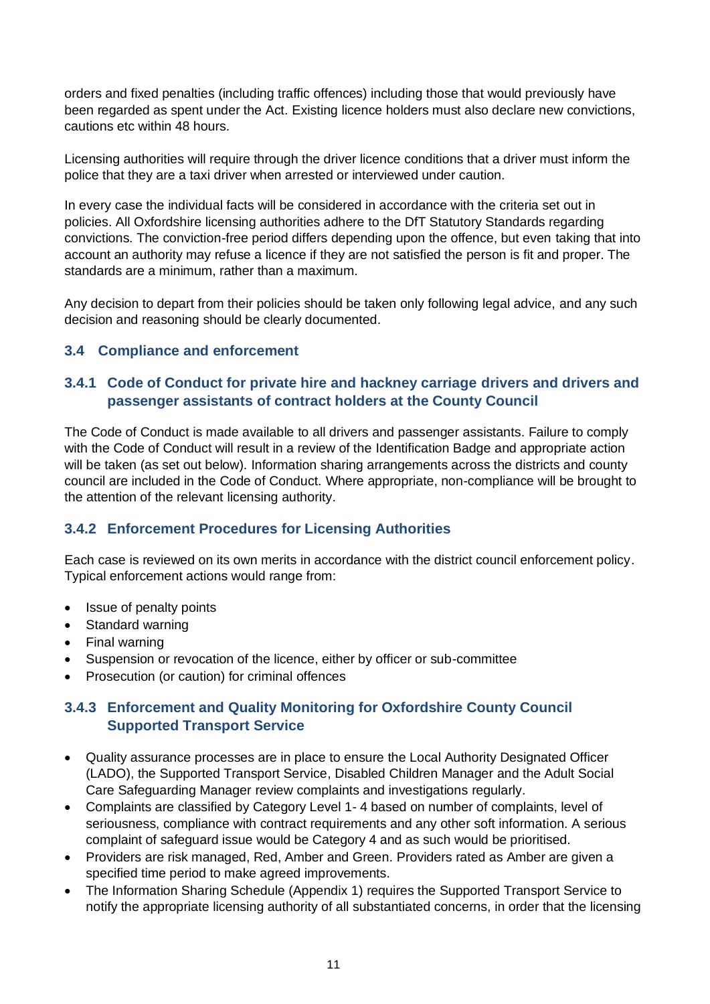orders and fixed penalties (including traffic offences) including those that would previously have been regarded as spent under the Act. Existing licence holders must also declare new convictions, cautions etc within 48 hours.

Licensing authorities will require through the driver licence conditions that a driver must inform the police that they are a taxi driver when arrested or interviewed under caution.

In every case the individual facts will be considered in accordance with the criteria set out in policies. All Oxfordshire licensing authorities adhere to the DfT Statutory Standards regarding convictions. The conviction-free period differs depending upon the offence, but even taking that into account an authority may refuse a licence if they are not satisfied the person is fit and proper. The standards are a minimum, rather than a maximum.

Any decision to depart from their policies should be taken only following legal advice, and any such decision and reasoning should be clearly documented.

### <span id="page-10-0"></span>**3.4 Compliance and enforcement**

### <span id="page-10-1"></span>**3.4.1 Code of Conduct for private hire and hackney carriage drivers and drivers and passenger assistants of contract holders at the County Council**

The Code of Conduct is made available to all drivers and passenger assistants. Failure to comply with the Code of Conduct will result in a review of the Identification Badge and appropriate action will be taken (as set out below). Information sharing arrangements across the districts and county council are included in the Code of Conduct. Where appropriate, non-compliance will be brought to the attention of the relevant licensing authority.

### <span id="page-10-2"></span>**3.4.2 Enforcement Procedures for Licensing Authorities**

Each case is reviewed on its own merits in accordance with the district council enforcement policy. Typical enforcement actions would range from:

- Issue of penalty points
- Standard warning
- Final warning
- Suspension or revocation of the licence, either by officer or sub-committee
- Prosecution (or caution) for criminal offences

### <span id="page-10-3"></span>**3.4.3 Enforcement and Quality Monitoring for Oxfordshire County Council Supported Transport Service**

- Quality assurance processes are in place to ensure the Local Authority Designated Officer (LADO), the Supported Transport Service, Disabled Children Manager and the Adult Social Care Safeguarding Manager review complaints and investigations regularly.
- Complaints are classified by Category Level 1- 4 based on number of complaints, level of seriousness, compliance with contract requirements and any other soft information. A serious complaint of safeguard issue would be Category 4 and as such would be prioritised.
- Providers are risk managed, Red, Amber and Green. Providers rated as Amber are given a specified time period to make agreed improvements.
- The Information Sharing Schedule (Appendix 1) requires the Supported Transport Service to notify the appropriate licensing authority of all substantiated concerns, in order that the licensing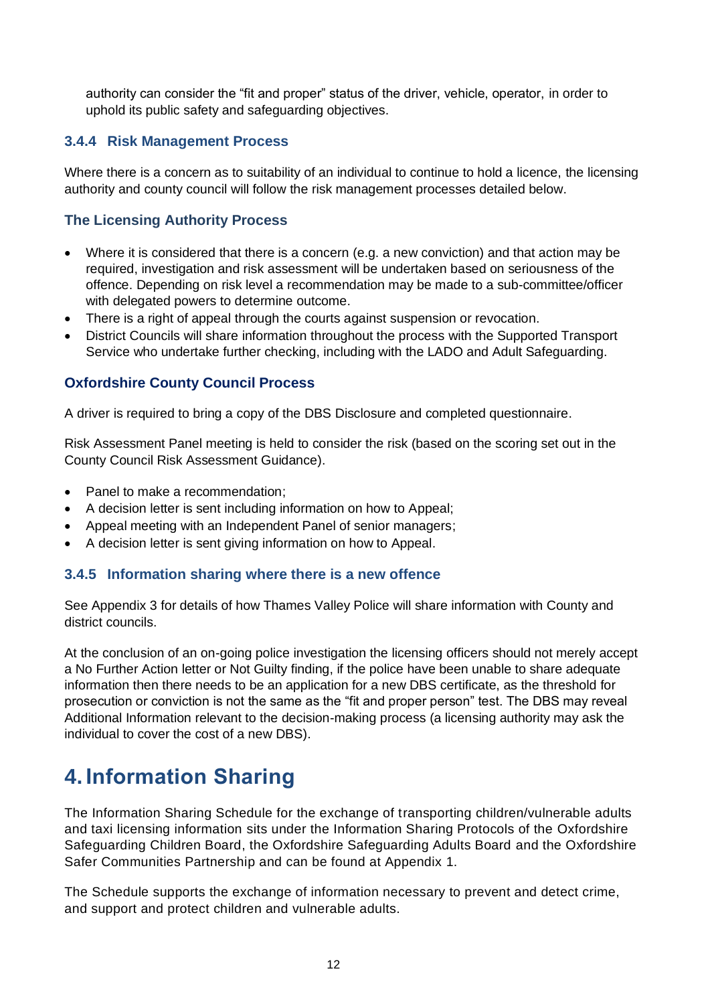authority can consider the "fit and proper" status of the driver, vehicle, operator, in order to uphold its public safety and safeguarding objectives.

### <span id="page-11-0"></span>**3.4.4 Risk Management Process**

Where there is a concern as to suitability of an individual to continue to hold a licence, the licensing authority and county council will follow the risk management processes detailed below.

### **The Licensing Authority Process**

- Where it is considered that there is a concern (e.g. a new conviction) and that action may be required, investigation and risk assessment will be undertaken based on seriousness of the offence. Depending on risk level a recommendation may be made to a sub-committee/officer with delegated powers to determine outcome.
- There is a right of appeal through the courts against suspension or revocation.
- District Councils will share information throughout the process with the Supported Transport Service who undertake further checking, including with the LADO and Adult Safeguarding.

### **Oxfordshire County Council Process**

A driver is required to bring a copy of the DBS Disclosure and completed questionnaire.

Risk Assessment Panel meeting is held to consider the risk (based on the scoring set out in the County Council Risk Assessment Guidance).

- Panel to make a recommendation:
- A decision letter is sent including information on how to Appeal;
- Appeal meeting with an Independent Panel of senior managers;
- A decision letter is sent giving information on how to Appeal.

#### <span id="page-11-1"></span>**3.4.5 Information sharing where there is a new offence**

See Appendix 3 for details of how Thames Valley Police will share information with County and district councils.

At the conclusion of an on-going police investigation the licensing officers should not merely accept a No Further Action letter or Not Guilty finding, if the police have been unable to share adequate information then there needs to be an application for a new DBS certificate, as the threshold for prosecution or conviction is not the same as the "fit and proper person" test. The DBS may reveal Additional Information relevant to the decision-making process (a licensing authority may ask the individual to cover the cost of a new DBS).

### <span id="page-11-2"></span>**4. Information Sharing**

The Information Sharing Schedule for the exchange of transporting children/vulnerable adults and taxi licensing information sits under the Information Sharing Protocols of the Oxfordshire Safeguarding Children Board, the Oxfordshire Safeguarding Adults Board and the Oxfordshire Safer Communities Partnership and can be found at Appendix 1.

The Schedule supports the exchange of information necessary to prevent and detect crime, and support and protect children and vulnerable adults.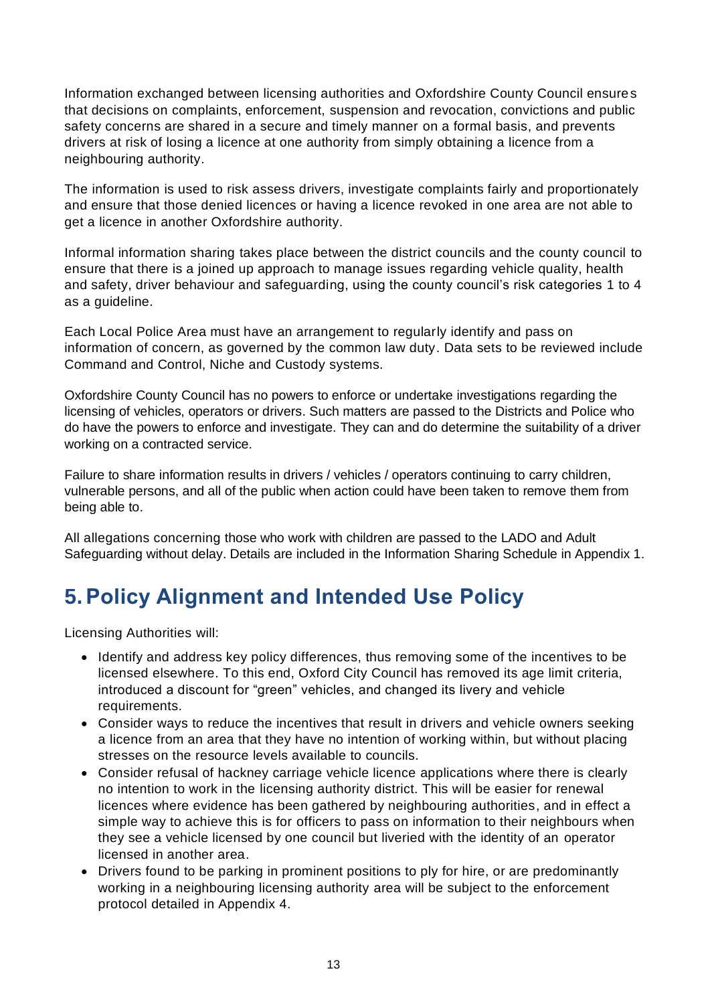Information exchanged between licensing authorities and Oxfordshire County Council ensures that decisions on complaints, enforcement, suspension and revocation, convictions and public safety concerns are shared in a secure and timely manner on a formal basis, and prevents drivers at risk of losing a licence at one authority from simply obtaining a licence from a neighbouring authority.

The information is used to risk assess drivers, investigate complaints fairly and proportionately and ensure that those denied licences or having a licence revoked in one area are not able to get a licence in another Oxfordshire authority.

Informal information sharing takes place between the district councils and the county council to ensure that there is a joined up approach to manage issues regarding vehicle quality, health and safety, driver behaviour and safeguarding, using the county council's risk categories 1 to 4 as a guideline.

Each Local Police Area must have an arrangement to regularly identify and pass on information of concern, as governed by the common law duty. Data sets to be reviewed include Command and Control, Niche and Custody systems.

Oxfordshire County Council has no powers to enforce or undertake investigations regarding the licensing of vehicles, operators or drivers. Such matters are passed to the Districts and Police who do have the powers to enforce and investigate. They can and do determine the suitability of a driver working on a contracted service.

Failure to share information results in drivers / vehicles / operators continuing to carry children, vulnerable persons, and all of the public when action could have been taken to remove them from being able to.

All allegations concerning those who work with children are passed to the LADO and Adult Safeguarding without delay. Details are included in the Information Sharing Schedule in Appendix 1.

## <span id="page-12-0"></span>**5.Policy Alignment and Intended Use Policy**

Licensing Authorities will:

- Identify and address key policy differences, thus removing some of the incentives to be licensed elsewhere. To this end, Oxford City Council has removed its age limit criteria, introduced a discount for "green" vehicles, and changed its livery and vehicle requirements.
- Consider ways to reduce the incentives that result in drivers and vehicle owners seeking a licence from an area that they have no intention of working within, but without placing stresses on the resource levels available to councils.
- Consider refusal of hackney carriage vehicle licence applications where there is clearly no intention to work in the licensing authority district. This will be easier for renewal licences where evidence has been gathered by neighbouring authorities, and in effect a simple way to achieve this is for officers to pass on information to their neighbours when they see a vehicle licensed by one council but liveried with the identity of an operator licensed in another area.
- Drivers found to be parking in prominent positions to ply for hire, or are predominantly working in a neighbouring licensing authority area will be subject to the enforcement protocol detailed in Appendix 4.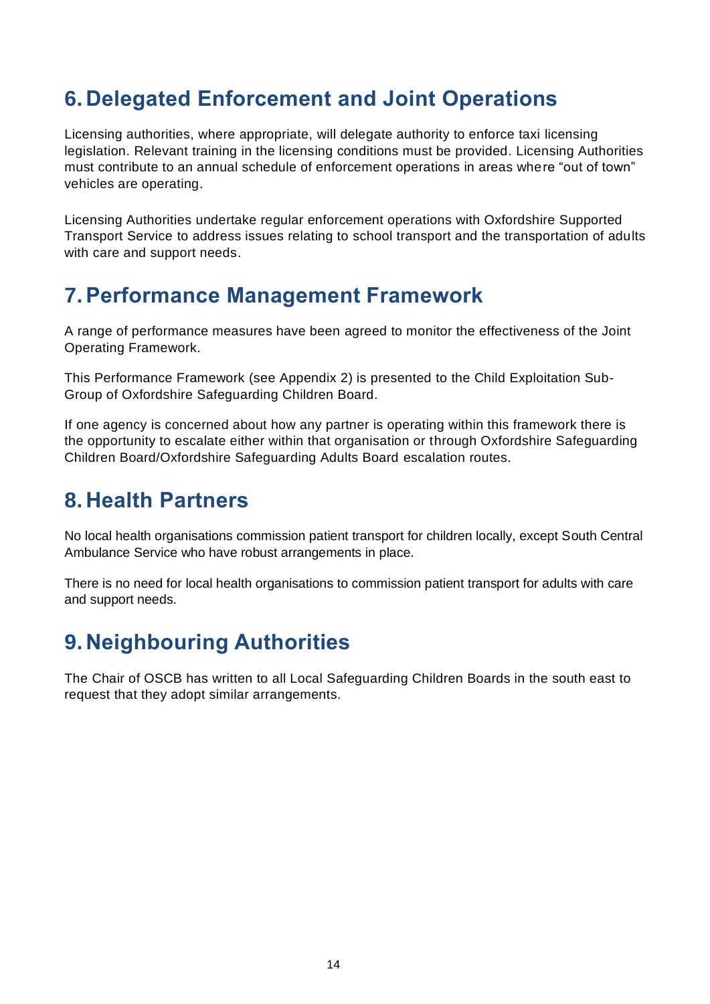### <span id="page-13-0"></span>**6. Delegated Enforcement and Joint Operations**

Licensing authorities, where appropriate, will delegate authority to enforce taxi licensing legislation. Relevant training in the licensing conditions must be provided. Licensing Authorities must contribute to an annual schedule of enforcement operations in areas where "out of town" vehicles are operating.

Licensing Authorities undertake regular enforcement operations with Oxfordshire Supported Transport Service to address issues relating to school transport and the transportation of adults with care and support needs.

### <span id="page-13-1"></span>**7.Performance Management Framework**

A range of performance measures have been agreed to monitor the effectiveness of the Joint Operating Framework.

This Performance Framework (see Appendix 2) is presented to the Child Exploitation Sub-Group of Oxfordshire Safeguarding Children Board.

If one agency is concerned about how any partner is operating within this framework there is the opportunity to escalate either within that organisation or through Oxfordshire Safeguarding Children Board/Oxfordshire Safeguarding Adults Board escalation routes.

## <span id="page-13-2"></span>**8. Health Partners**

No local health organisations commission patient transport for children locally, except South Central Ambulance Service who have robust arrangements in place.

There is no need for local health organisations to commission patient transport for adults with care and support needs.

## <span id="page-13-3"></span>**9. Neighbouring Authorities**

The Chair of OSCB has written to all Local Safeguarding Children Boards in the south east to request that they adopt similar arrangements.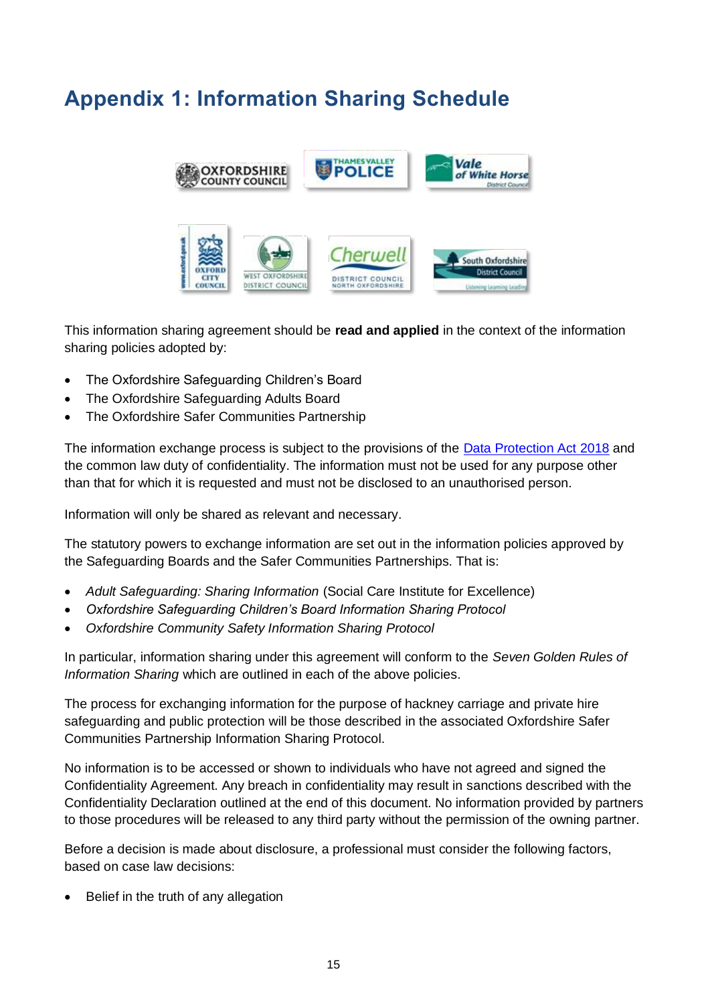## <span id="page-14-0"></span>**Appendix 1: Information Sharing Schedule**



This information sharing agreement should be **read and applied** in the context of the information sharing policies adopted by:

- The Oxfordshire Safeguarding Children's Board
- The Oxfordshire Safeguarding Adults Board
- The Oxfordshire Safer Communities Partnership

The information exchange process is subject to the provisions of the **Data Protection Act 2018** and the common law duty of confidentiality. The information must not be used for any purpose other than that for which it is requested and must not be disclosed to an unauthorised person.

Information will only be shared as relevant and necessary.

The statutory powers to exchange information are set out in the information policies approved by the Safeguarding Boards and the Safer Communities Partnerships. That is:

- *Adult Safeguarding: Sharing Information* (Social Care Institute for Excellence)
- *Oxfordshire Safeguarding Children's Board Information Sharing Protocol*
- *Oxfordshire Community Safety Information Sharing Protocol*

In particular, information sharing under this agreement will conform to the *Seven Golden Rules of Information Sharing* which are outlined in each of the above policies.

The process for exchanging information for the purpose of hackney carriage and private hire safeguarding and public protection will be those described in the associated Oxfordshire Safer Communities Partnership Information Sharing Protocol.

No information is to be accessed or shown to individuals who have not agreed and signed the Confidentiality Agreement. Any breach in confidentiality may result in sanctions described with the Confidentiality Declaration outlined at the end of this document. No information provided by partners to those procedures will be released to any third party without the permission of the owning partner.

Before a decision is made about disclosure, a professional must consider the following factors, based on case law decisions:

Belief in the truth of any allegation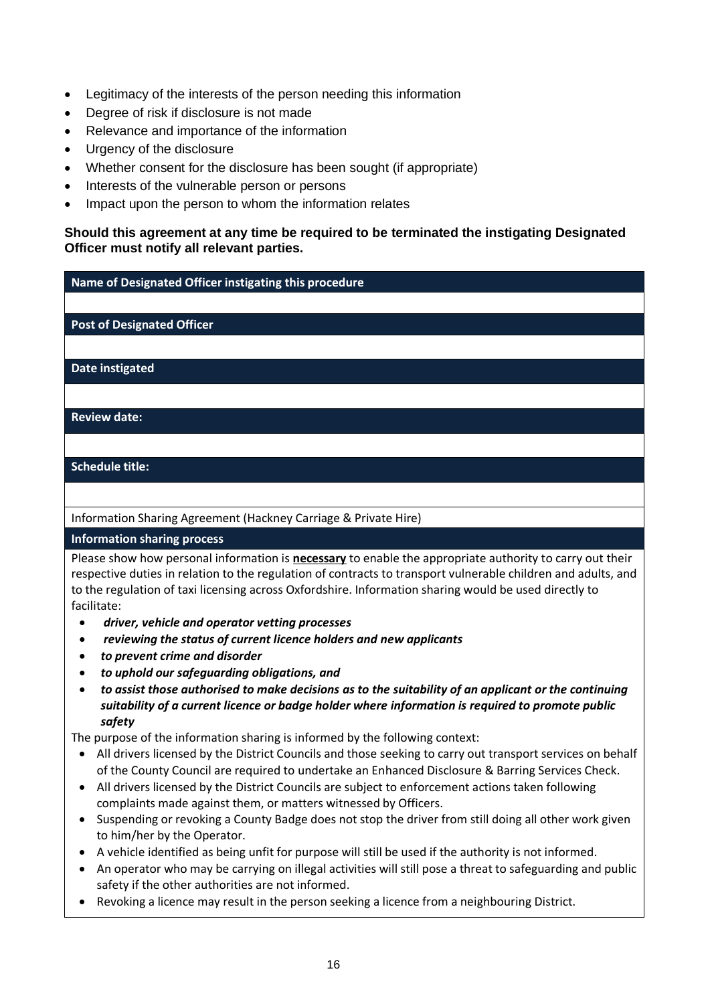- Legitimacy of the interests of the person needing this information
- Degree of risk if disclosure is not made
- Relevance and importance of the information
- Urgency of the disclosure
- Whether consent for the disclosure has been sought (if appropriate)
- Interests of the vulnerable person or persons
- Impact upon the person to whom the information relates

#### **Should this agreement at any time be required to be terminated the instigating Designated Officer must notify all relevant parties.**

**Name of Designated Officer instigating this procedure**

**Post of Designated Officer**

**Date instigated**

**Review date:**

**Schedule title:**

Information Sharing Agreement (Hackney Carriage & Private Hire)

**Information sharing process**

Please show how personal information is **necessary** to enable the appropriate authority to carry out their respective duties in relation to the regulation of contracts to transport vulnerable children and adults, and to the regulation of taxi licensing across Oxfordshire. Information sharing would be used directly to facilitate:

- *driver, vehicle and operator vetting processes*
- *reviewing the status of current licence holders and new applicants*
- *to prevent crime and disorder*
- *to uphold our safeguarding obligations, and*
- *to assist those authorised to make decisions as to the suitability of an applicant or the continuing suitability of a current licence or badge holder where information is required to promote public safety*

The purpose of the information sharing is informed by the following context:

- All drivers licensed by the District Councils and those seeking to carry out transport services on behalf of the County Council are required to undertake an Enhanced Disclosure & Barring Services Check.
- All drivers licensed by the District Councils are subject to enforcement actions taken following complaints made against them, or matters witnessed by Officers.
- Suspending or revoking a County Badge does not stop the driver from still doing all other work given to him/her by the Operator.
- A vehicle identified as being unfit for purpose will still be used if the authority is not informed.
- An operator who may be carrying on illegal activities will still pose a threat to safeguarding and public safety if the other authorities are not informed.
- Revoking a licence may result in the person seeking a licence from a neighbouring District.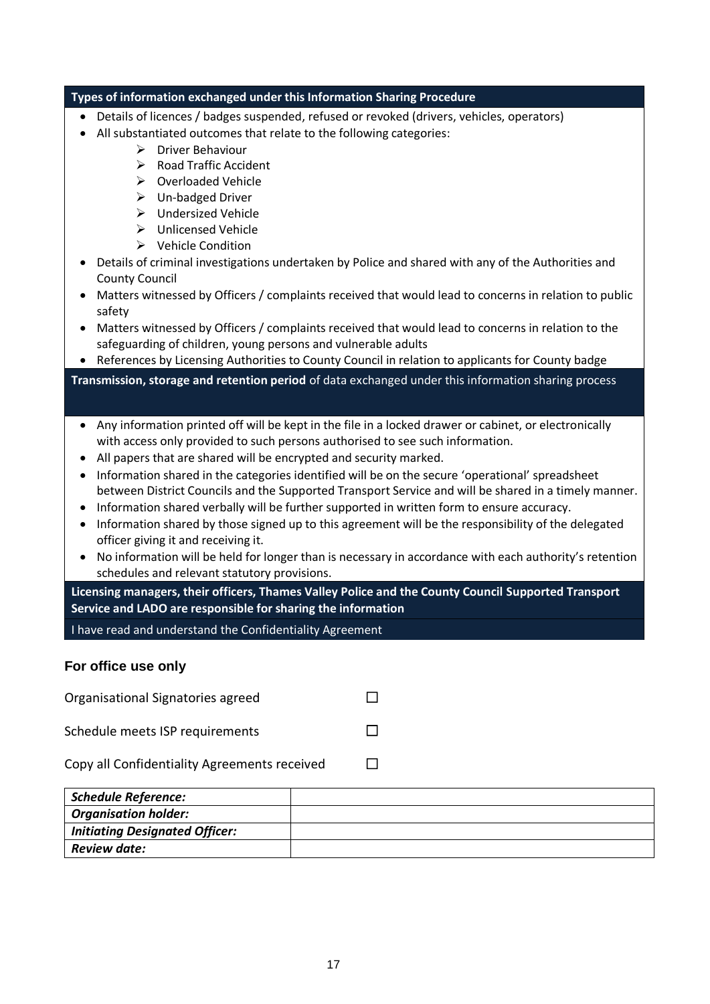|                                                                                                                                                                     | Types of information exchanged under this Information Sharing Procedure                                                                                                                                 |  |  |
|---------------------------------------------------------------------------------------------------------------------------------------------------------------------|---------------------------------------------------------------------------------------------------------------------------------------------------------------------------------------------------------|--|--|
|                                                                                                                                                                     | Details of licences / badges suspended, refused or revoked (drivers, vehicles, operators)                                                                                                               |  |  |
|                                                                                                                                                                     | All substantiated outcomes that relate to the following categories:                                                                                                                                     |  |  |
|                                                                                                                                                                     | <b>Driver Behaviour</b><br>➤                                                                                                                                                                            |  |  |
|                                                                                                                                                                     | <b>Road Traffic Accident</b><br>➤                                                                                                                                                                       |  |  |
|                                                                                                                                                                     | Overloaded Vehicle<br>≻                                                                                                                                                                                 |  |  |
|                                                                                                                                                                     | <b>Un-badged Driver</b><br>➤                                                                                                                                                                            |  |  |
|                                                                                                                                                                     | <b>Undersized Vehicle</b><br>➤                                                                                                                                                                          |  |  |
|                                                                                                                                                                     | <b>Unlicensed Vehicle</b><br>➤                                                                                                                                                                          |  |  |
|                                                                                                                                                                     | $\triangleright$ Vehicle Condition                                                                                                                                                                      |  |  |
| <b>County Council</b>                                                                                                                                               | Details of criminal investigations undertaken by Police and shared with any of the Authorities and                                                                                                      |  |  |
| ٠<br>safety                                                                                                                                                         | Matters witnessed by Officers / complaints received that would lead to concerns in relation to public                                                                                                   |  |  |
| $\bullet$                                                                                                                                                           | Matters witnessed by Officers / complaints received that would lead to concerns in relation to the<br>safeguarding of children, young persons and vulnerable adults                                     |  |  |
| $\bullet$                                                                                                                                                           | References by Licensing Authorities to County Council in relation to applicants for County badge                                                                                                        |  |  |
| ٠                                                                                                                                                                   | Any information printed off will be kept in the file in a locked drawer or cabinet, or electronically                                                                                                   |  |  |
|                                                                                                                                                                     | with access only provided to such persons authorised to see such information.                                                                                                                           |  |  |
| $\bullet$                                                                                                                                                           | All papers that are shared will be encrypted and security marked.                                                                                                                                       |  |  |
| ٠                                                                                                                                                                   | Information shared in the categories identified will be on the secure 'operational' spreadsheet<br>between District Councils and the Supported Transport Service and will be shared in a timely manner. |  |  |
| $\bullet$                                                                                                                                                           | Information shared verbally will be further supported in written form to ensure accuracy.                                                                                                               |  |  |
| $\bullet$                                                                                                                                                           | Information shared by those signed up to this agreement will be the responsibility of the delegated                                                                                                     |  |  |
|                                                                                                                                                                     | officer giving it and receiving it.<br>No information will be held for longer than is necessary in accordance with each authority's retention                                                           |  |  |
| $\bullet$                                                                                                                                                           | schedules and relevant statutory provisions.                                                                                                                                                            |  |  |
|                                                                                                                                                                     |                                                                                                                                                                                                         |  |  |
| Licensing managers, their officers, Thames Valley Police and the County Council Supported Transport<br>Service and LADO are responsible for sharing the information |                                                                                                                                                                                                         |  |  |
|                                                                                                                                                                     | I have read and understand the Confidentiality Agreement                                                                                                                                                |  |  |
| For office use only                                                                                                                                                 |                                                                                                                                                                                                         |  |  |
|                                                                                                                                                                     | Organisational Signatories agreed<br>$\sim$                                                                                                                                                             |  |  |

| Schedule meets ISP requirements |  |  |
|---------------------------------|--|--|
|                                 |  |  |

Copy all Confidentiality Agreements received  $\Box$ 

| <b>Schedule Reference:</b>            |  |
|---------------------------------------|--|
| <b>Organisation holder:</b>           |  |
| <b>Initiating Designated Officer:</b> |  |
| <b>Review date:</b>                   |  |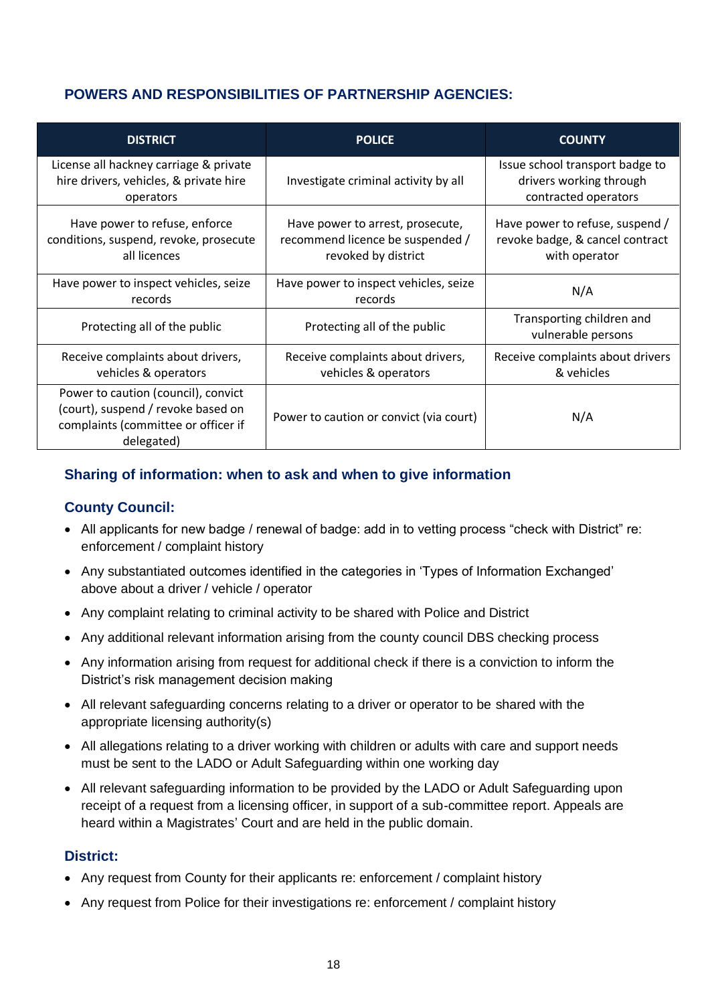### **POWERS AND RESPONSIBILITIES OF PARTNERSHIP AGENCIES:**

| <b>DISTRICT</b>                                                                                                                | <b>POLICE</b>                                                                               | <b>COUNTY</b>                                                                       |
|--------------------------------------------------------------------------------------------------------------------------------|---------------------------------------------------------------------------------------------|-------------------------------------------------------------------------------------|
| License all hackney carriage & private<br>hire drivers, vehicles, & private hire<br>operators                                  | Investigate criminal activity by all                                                        | Issue school transport badge to<br>drivers working through<br>contracted operators  |
| Have power to refuse, enforce<br>conditions, suspend, revoke, prosecute<br>all licences                                        | Have power to arrest, prosecute,<br>recommend licence be suspended /<br>revoked by district | Have power to refuse, suspend /<br>revoke badge, & cancel contract<br>with operator |
| Have power to inspect vehicles, seize<br>records                                                                               | Have power to inspect vehicles, seize<br>records                                            | N/A                                                                                 |
| Protecting all of the public                                                                                                   | Protecting all of the public                                                                | Transporting children and<br>vulnerable persons                                     |
| Receive complaints about drivers,<br>vehicles & operators                                                                      | Receive complaints about drivers,<br>vehicles & operators                                   | Receive complaints about drivers<br>& vehicles                                      |
| Power to caution (council), convict<br>(court), suspend / revoke based on<br>complaints (committee or officer if<br>delegated) | Power to caution or convict (via court)                                                     | N/A                                                                                 |

### **Sharing of information: when to ask and when to give information**

### **County Council:**

- All applicants for new badge / renewal of badge: add in to vetting process "check with District" re: enforcement / complaint history
- Any substantiated outcomes identified in the categories in 'Types of Information Exchanged' above about a driver / vehicle / operator
- Any complaint relating to criminal activity to be shared with Police and District
- Any additional relevant information arising from the county council DBS checking process
- Any information arising from request for additional check if there is a conviction to inform the District's risk management decision making
- All relevant safeguarding concerns relating to a driver or operator to be shared with the appropriate licensing authority(s)
- All allegations relating to a driver working with children or adults with care and support needs must be sent to the LADO or Adult Safeguarding within one working day
- All relevant safeguarding information to be provided by the LADO or Adult Safeguarding upon receipt of a request from a licensing officer, in support of a sub-committee report. Appeals are heard within a Magistrates' Court and are held in the public domain.

### **District:**

- Any request from County for their applicants re: enforcement / complaint history
- Any request from Police for their investigations re: enforcement / complaint history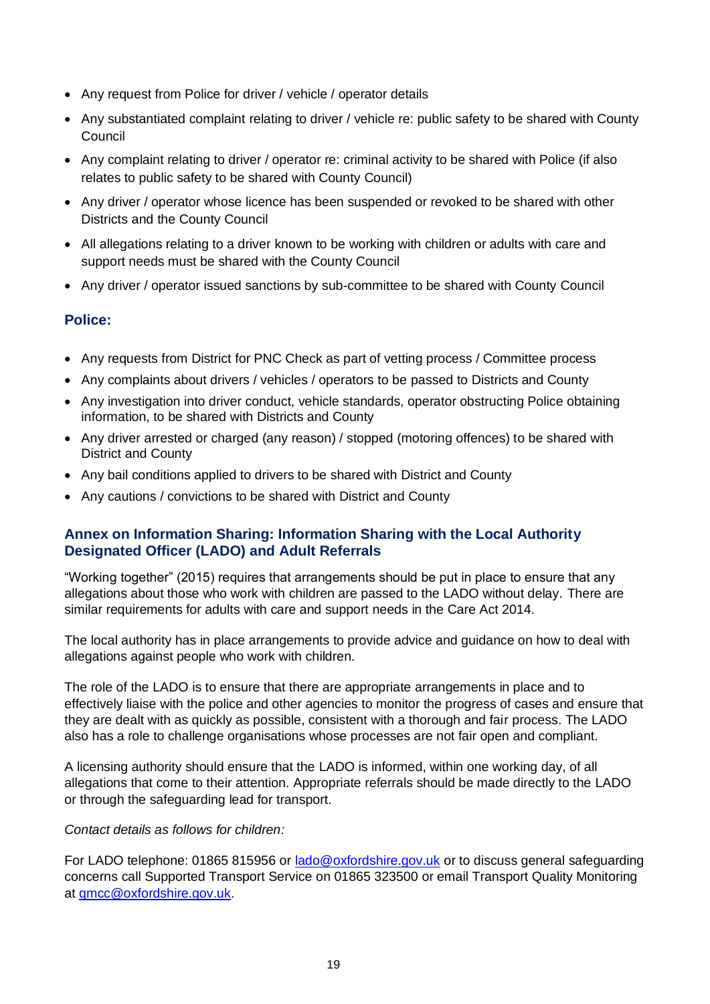- Any request from Police for driver / vehicle / operator details
- Any substantiated complaint relating to driver / vehicle re: public safety to be shared with County Council
- Any complaint relating to driver / operator re: criminal activity to be shared with Police (if also relates to public safety to be shared with County Council)
- Any driver / operator whose licence has been suspended or revoked to be shared with other Districts and the County Council
- All allegations relating to a driver known to be working with children or adults with care and support needs must be shared with the County Council
- Any driver / operator issued sanctions by sub-committee to be shared with County Council

### **Police:**

- Any requests from District for PNC Check as part of vetting process / Committee process
- Any complaints about drivers / vehicles / operators to be passed to Districts and County
- Any investigation into driver conduct, vehicle standards, operator obstructing Police obtaining information, to be shared with Districts and County
- Any driver arrested or charged (any reason) / stopped (motoring offences) to be shared with District and County
- Any bail conditions applied to drivers to be shared with District and County
- Any cautions / convictions to be shared with District and County

### **Annex on Information Sharing: Information Sharing with the Local Authority Designated Officer (LADO) and Adult Referrals**

"Working together" (2015) requires that arrangements should be put in place to ensure that any allegations about those who work with children are passed to the LADO without delay. There are similar requirements for adults with care and support needs in the Care Act 2014.

The local authority has in place arrangements to provide advice and guidance on how to deal with allegations against people who work with children.

The role of the LADO is to ensure that there are appropriate arrangements in place and to effectively liaise with the police and other agencies to monitor the progress of cases and ensure that they are dealt with as quickly as possible, consistent with a thorough and fair process. The LADO also has a role to challenge organisations whose processes are not fair open and compliant.

A licensing authority should ensure that the LADO is informed, within one working day, of all allegations that come to their attention. Appropriate referrals should be made directly to the LADO or through the safeguarding lead for transport.

#### *Contact details as follows for children:*

For LADO telephone: 01865 815956 or [lado@oxfordshire.gov.uk](mailto:lado@oxfordshire.gov.uk) or to discuss general safeguarding concerns call Supported Transport Service on 01865 323500 or email Transport Quality Monitoring at [qmcc@oxfordshire.gov.uk.](mailto:qmcc@oxfordshire.gov.uk)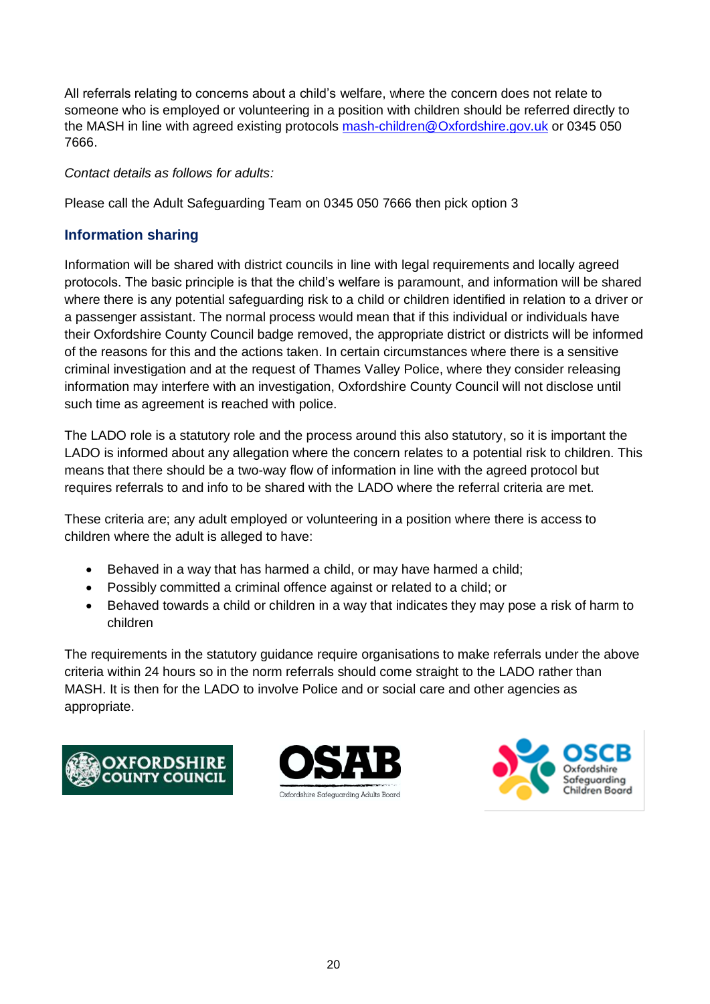All referrals relating to concerns about a child's welfare, where the concern does not relate to someone who is employed or volunteering in a position with children should be referred directly to the MASH in line with agreed existing protocols [mash-children@Oxfordshire.gov.uk](mailto:mash-children@Oxfordshire.gov.uk) or 0345 050 7666.

### *Contact details as follows for adults:*

Please call the Adult Safeguarding Team on 0345 050 7666 then pick option 3

### **Information sharing**

Information will be shared with district councils in line with legal requirements and locally agreed protocols. The basic principle is that the child's welfare is paramount, and information will be shared where there is any potential safeguarding risk to a child or children identified in relation to a driver or a passenger assistant. The normal process would mean that if this individual or individuals have their Oxfordshire County Council badge removed, the appropriate district or districts will be informed of the reasons for this and the actions taken. In certain circumstances where there is a sensitive criminal investigation and at the request of Thames Valley Police, where they consider releasing information may interfere with an investigation, Oxfordshire County Council will not disclose until such time as agreement is reached with police.

The LADO role is a statutory role and the process around this also statutory, so it is important the LADO is informed about any allegation where the concern relates to a potential risk to children. This means that there should be a two-way flow of information in line with the agreed protocol but requires referrals to and info to be shared with the LADO where the referral criteria are met.

These criteria are; any adult employed or volunteering in a position where there is access to children where the adult is alleged to have:

- Behaved in a way that has harmed a child, or may have harmed a child;
- Possibly committed a criminal offence against or related to a child; or
- Behaved towards a child or children in a way that indicates they may pose a risk of harm to children

<span id="page-19-0"></span>The requirements in the statutory guidance require organisations to make referrals under the above criteria within 24 hours so in the norm referrals should come straight to the LADO rather than MASH. It is then for the LADO to involve Police and or social care and other agencies as appropriate.





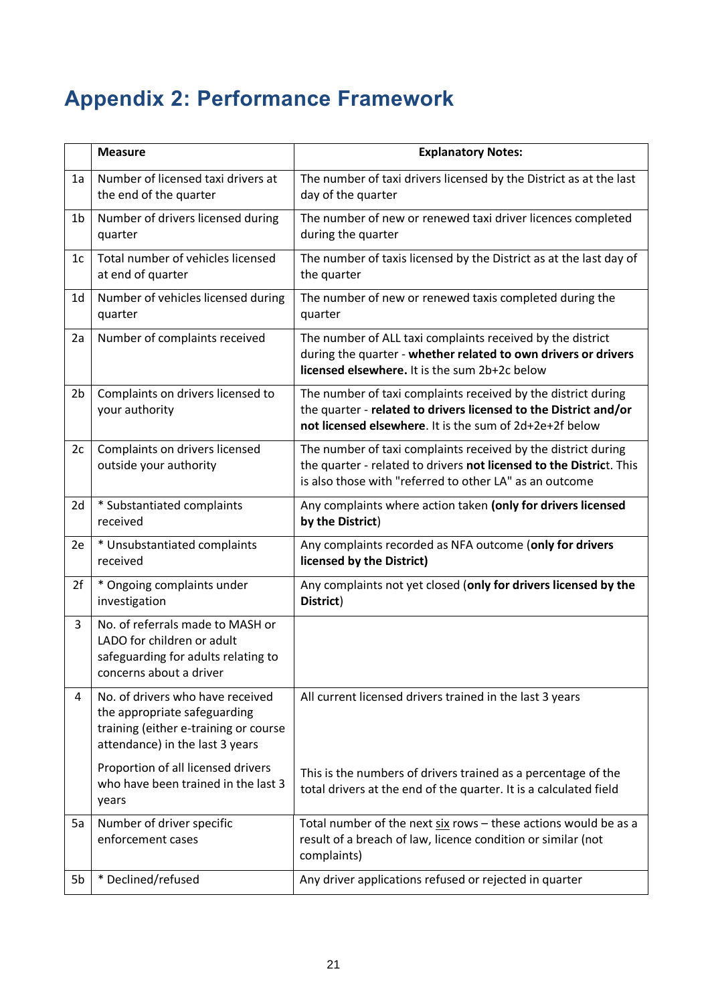# **Appendix 2: Performance Framework**

|                | <b>Measure</b>                                                                                                                               | <b>Explanatory Notes:</b>                                                                                                                                                                       |
|----------------|----------------------------------------------------------------------------------------------------------------------------------------------|-------------------------------------------------------------------------------------------------------------------------------------------------------------------------------------------------|
| 1a             | Number of licensed taxi drivers at<br>the end of the quarter                                                                                 | The number of taxi drivers licensed by the District as at the last<br>day of the quarter                                                                                                        |
| 1 <sub>b</sub> | Number of drivers licensed during<br>quarter                                                                                                 | The number of new or renewed taxi driver licences completed<br>during the quarter                                                                                                               |
| 1 <sub>c</sub> | Total number of vehicles licensed<br>at end of quarter                                                                                       | The number of taxis licensed by the District as at the last day of<br>the quarter                                                                                                               |
| 1 <sub>d</sub> | Number of vehicles licensed during<br>quarter                                                                                                | The number of new or renewed taxis completed during the<br>quarter                                                                                                                              |
| 2a             | Number of complaints received                                                                                                                | The number of ALL taxi complaints received by the district<br>during the quarter - whether related to own drivers or drivers<br>licensed elsewhere. It is the sum 2b+2c below                   |
| 2 <sub>b</sub> | Complaints on drivers licensed to<br>your authority                                                                                          | The number of taxi complaints received by the district during<br>the quarter - related to drivers licensed to the District and/or<br>not licensed elsewhere. It is the sum of 2d+2e+2f below    |
| 2c             | Complaints on drivers licensed<br>outside your authority                                                                                     | The number of taxi complaints received by the district during<br>the quarter - related to drivers not licensed to the District. This<br>is also those with "referred to other LA" as an outcome |
| 2d             | * Substantiated complaints<br>received                                                                                                       | Any complaints where action taken (only for drivers licensed<br>by the District)                                                                                                                |
| 2e             | * Unsubstantiated complaints<br>received                                                                                                     | Any complaints recorded as NFA outcome (only for drivers<br>licensed by the District)                                                                                                           |
| 2f             | * Ongoing complaints under<br>investigation                                                                                                  | Any complaints not yet closed (only for drivers licensed by the<br>District)                                                                                                                    |
| 3              | No. of referrals made to MASH or<br>LADO for children or adult<br>safeguarding for adults relating to<br>concerns about a driver             |                                                                                                                                                                                                 |
| 4              | No. of drivers who have received<br>the appropriate safeguarding<br>training (either e-training or course<br>attendance) in the last 3 years | All current licensed drivers trained in the last 3 years                                                                                                                                        |
|                | Proportion of all licensed drivers<br>who have been trained in the last 3<br>years                                                           | This is the numbers of drivers trained as a percentage of the<br>total drivers at the end of the quarter. It is a calculated field                                                              |
| 5a             | Number of driver specific<br>enforcement cases                                                                                               | Total number of the next six rows - these actions would be as a<br>result of a breach of law, licence condition or similar (not<br>complaints)                                                  |
| 5b             | * Declined/refused                                                                                                                           | Any driver applications refused or rejected in quarter                                                                                                                                          |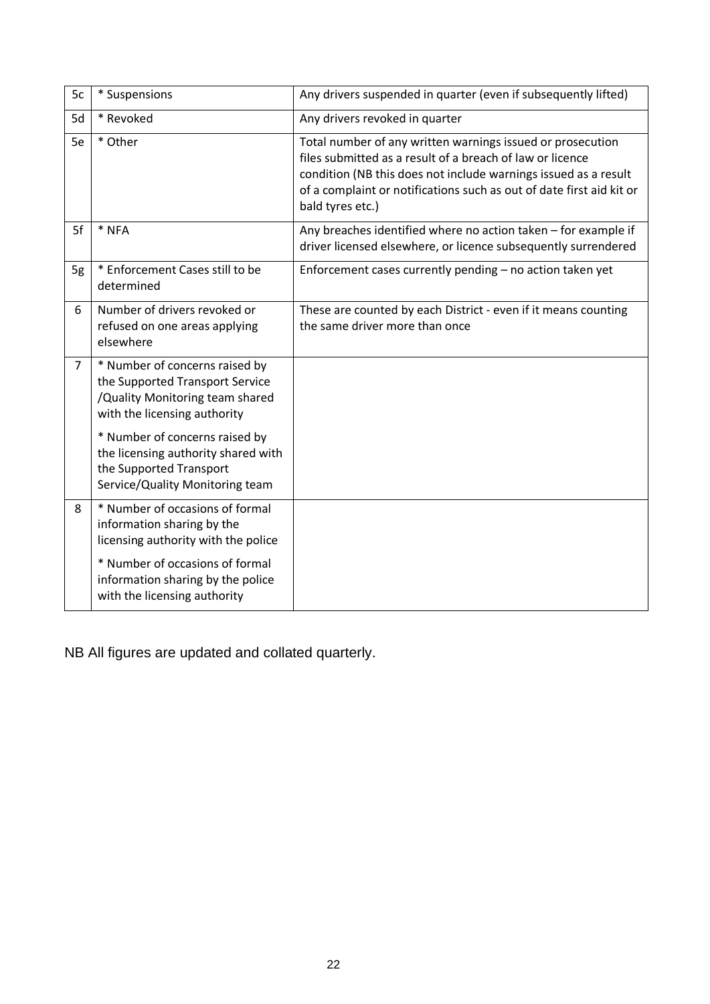| 5c             | * Suspensions                                                                                                                        | Any drivers suspended in quarter (even if subsequently lifted)                                                                                                                                                                                                                         |
|----------------|--------------------------------------------------------------------------------------------------------------------------------------|----------------------------------------------------------------------------------------------------------------------------------------------------------------------------------------------------------------------------------------------------------------------------------------|
| 5d             | * Revoked                                                                                                                            | Any drivers revoked in quarter                                                                                                                                                                                                                                                         |
| 5e             | * Other                                                                                                                              | Total number of any written warnings issued or prosecution<br>files submitted as a result of a breach of law or licence<br>condition (NB this does not include warnings issued as a result<br>of a complaint or notifications such as out of date first aid kit or<br>bald tyres etc.) |
| 5f             | * NFA                                                                                                                                | Any breaches identified where no action taken - for example if<br>driver licensed elsewhere, or licence subsequently surrendered                                                                                                                                                       |
| 5g             | * Enforcement Cases still to be<br>determined                                                                                        | Enforcement cases currently pending - no action taken yet                                                                                                                                                                                                                              |
| 6              | Number of drivers revoked or<br>refused on one areas applying<br>elsewhere                                                           | These are counted by each District - even if it means counting<br>the same driver more than once                                                                                                                                                                                       |
| $\overline{7}$ | * Number of concerns raised by<br>the Supported Transport Service<br>/Quality Monitoring team shared<br>with the licensing authority |                                                                                                                                                                                                                                                                                        |
|                | * Number of concerns raised by<br>the licensing authority shared with<br>the Supported Transport<br>Service/Quality Monitoring team  |                                                                                                                                                                                                                                                                                        |
| 8              | * Number of occasions of formal<br>information sharing by the<br>licensing authority with the police                                 |                                                                                                                                                                                                                                                                                        |
|                | * Number of occasions of formal<br>information sharing by the police<br>with the licensing authority                                 |                                                                                                                                                                                                                                                                                        |

NB All figures are updated and collated quarterly.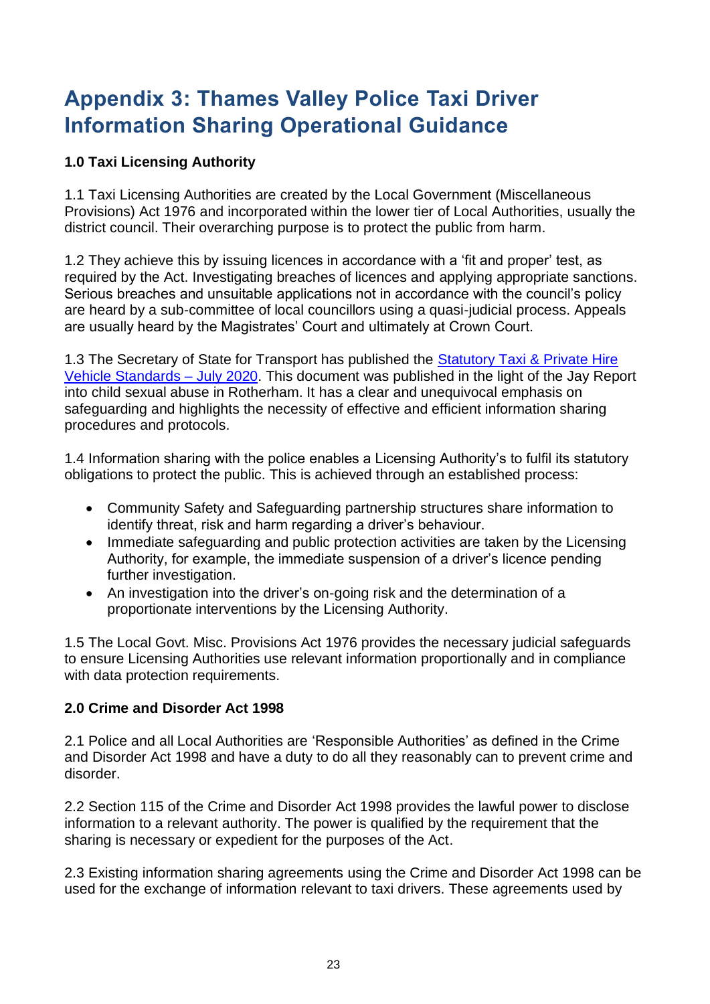## <span id="page-22-0"></span>**Appendix 3: Thames Valley Police Taxi Driver Information Sharing Operational Guidance**

### **1.0 Taxi Licensing Authority**

1.1 Taxi Licensing Authorities are created by the Local Government (Miscellaneous Provisions) Act 1976 and incorporated within the lower tier of Local Authorities, usually the district council. Their overarching purpose is to protect the public from harm.

1.2 They achieve this by issuing licences in accordance with a 'fit and proper' test, as required by the Act. Investigating breaches of licences and applying appropriate sanctions. Serious breaches and unsuitable applications not in accordance with the council's policy are heard by a sub-committee of local councillors using a quasi-judicial process. Appeals are usually heard by the Magistrates' Court and ultimately at Crown Court.

1.3 The Secretary of State for Transport has published the Statutory Taxi & Private Hire [Vehicle Standards –](http://hqcdms/livelink/livelink.exe/Statutory_taxi_and_private_hire_vehicle_standards_21-7-2020.pdf?func=doc.Fetch&nodeId=101121747&docTitle=Statutory+taxi+and+private+hire+vehicle+standards+21%2D7%2D2020%2Epdf&viewType=1) July 2020. This document was published in the light of the Jay Report into child sexual abuse in Rotherham. It has a clear and unequivocal emphasis on safeguarding and highlights the necessity of effective and efficient information sharing procedures and protocols.

1.4 Information sharing with the police enables a Licensing Authority's to fulfil its statutory obligations to protect the public. This is achieved through an established process:

- Community Safety and Safeguarding partnership structures share information to identify threat, risk and harm regarding a driver's behaviour.
- Immediate safeguarding and public protection activities are taken by the Licensing Authority, for example, the immediate suspension of a driver's licence pending further investigation.
- An investigation into the driver's on-going risk and the determination of a proportionate interventions by the Licensing Authority.

1.5 The Local Govt. Misc. Provisions Act 1976 provides the necessary judicial safeguards to ensure Licensing Authorities use relevant information proportionally and in compliance with data protection requirements.

### **2.0 Crime and Disorder Act 1998**

2.1 Police and all Local Authorities are 'Responsible Authorities' as defined in the Crime and Disorder Act 1998 and have a duty to do all they reasonably can to prevent crime and disorder.

2.2 Section 115 of the Crime and Disorder Act 1998 provides the lawful power to disclose information to a relevant authority. The power is qualified by the requirement that the sharing is necessary or expedient for the purposes of the Act.

2.3 Existing information sharing agreements using the Crime and Disorder Act 1998 can be used for the exchange of information relevant to taxi drivers. These agreements used by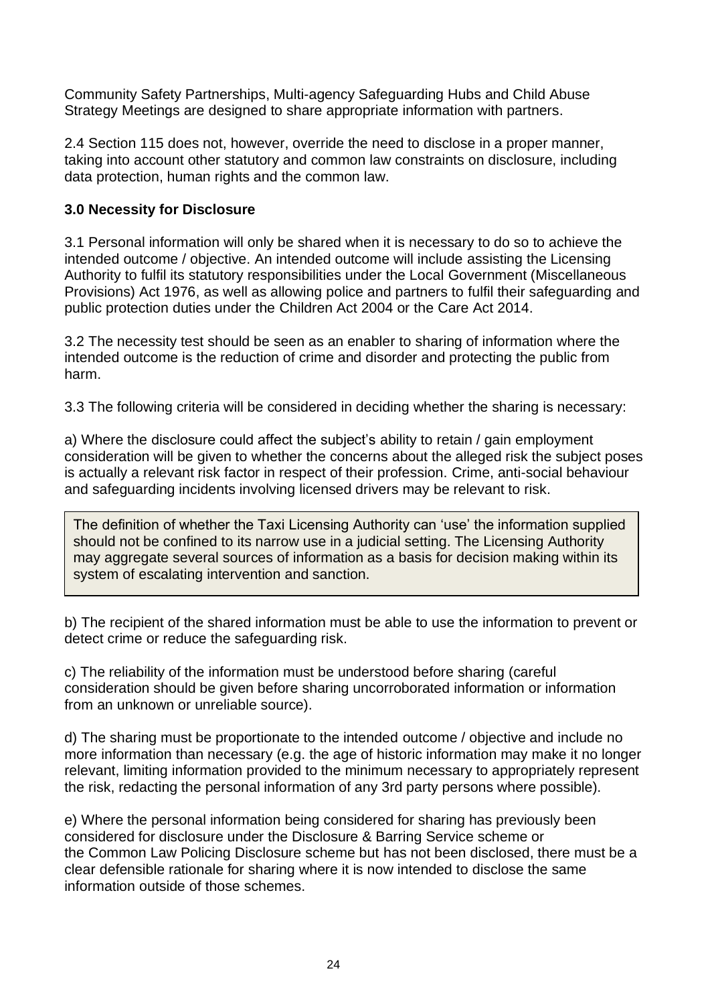Community Safety Partnerships, Multi-agency Safeguarding Hubs and Child Abuse Strategy Meetings are designed to share appropriate information with partners.

2.4 Section 115 does not, however, override the need to disclose in a proper manner, taking into account other statutory and common law constraints on disclosure, including data protection, human rights and the common law.

### **3.0 Necessity for Disclosure**

3.1 Personal information will only be shared when it is necessary to do so to achieve the intended outcome / objective. An intended outcome will include assisting the Licensing Authority to fulfil its statutory responsibilities under the Local Government (Miscellaneous Provisions) Act 1976, as well as allowing police and partners to fulfil their safeguarding and public protection duties under the Children Act 2004 or the Care Act 2014.

3.2 The necessity test should be seen as an enabler to sharing of information where the intended outcome is the reduction of crime and disorder and protecting the public from harm.

3.3 The following criteria will be considered in deciding whether the sharing is necessary:

a) Where the disclosure could affect the subject's ability to retain / gain employment consideration will be given to whether the concerns about the alleged risk the subject poses is actually a relevant risk factor in respect of their profession. Crime, anti-social behaviour and safeguarding incidents involving licensed drivers may be relevant to risk.

The definition of whether the Taxi Licensing Authority can 'use' the information supplied should not be confined to its narrow use in a judicial setting. The Licensing Authority may aggregate several sources of information as a basis for decision making within its system of escalating intervention and sanction.

b) The recipient of the shared information must be able to use the information to prevent or detect crime or reduce the safeguarding risk.

c) The reliability of the information must be understood before sharing (careful consideration should be given before sharing uncorroborated information or information from an unknown or unreliable source).

d) The sharing must be proportionate to the intended outcome / objective and include no more information than necessary (e.g. the age of historic information may make it no longer relevant, limiting information provided to the minimum necessary to appropriately represent the risk, redacting the personal information of any 3rd party persons where possible).

e) Where the personal information being considered for sharing has previously been considered for disclosure under the Disclosure & Barring Service scheme or the Common Law Policing Disclosure scheme but has not been disclosed, there must be a clear defensible rationale for sharing where it is now intended to disclose the same information outside of those schemes.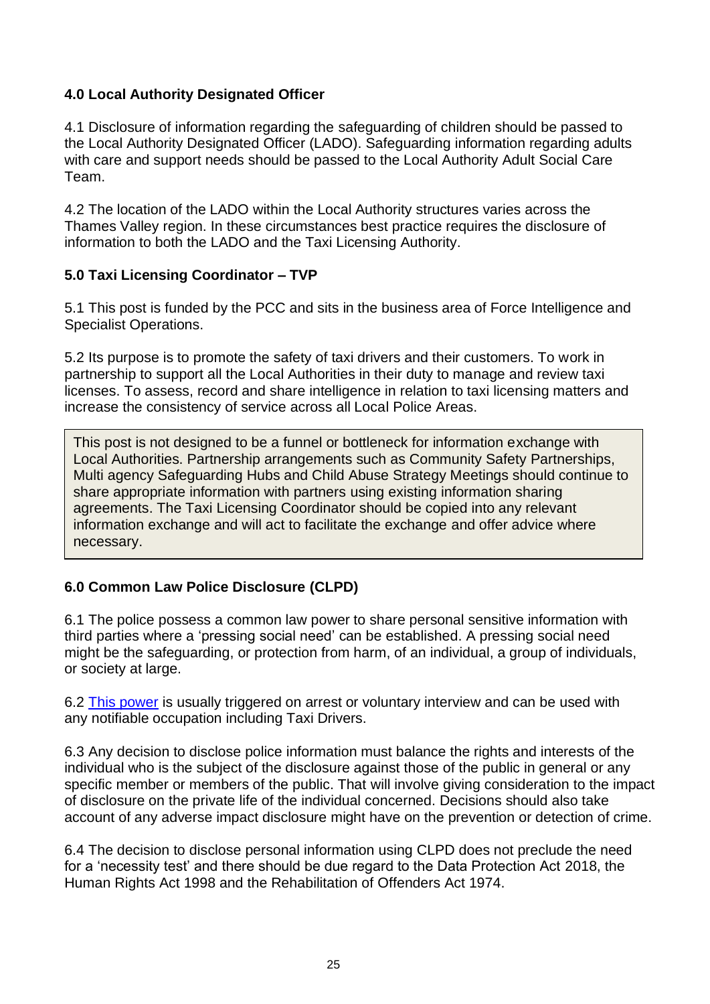### **4.0 Local Authority Designated Officer**

4.1 Disclosure of information regarding the safeguarding of children should be passed to the Local Authority Designated Officer (LADO). Safeguarding information regarding adults with care and support needs should be passed to the Local Authority Adult Social Care Team.

4.2 The location of the LADO within the Local Authority structures varies across the Thames Valley region. In these circumstances best practice requires the disclosure of information to both the LADO and the Taxi Licensing Authority.

### **5.0 Taxi Licensing Coordinator – TVP**

5.1 This post is funded by the PCC and sits in the business area of Force Intelligence and Specialist Operations.

5.2 Its purpose is to promote the safety of taxi drivers and their customers. To work in partnership to support all the Local Authorities in their duty to manage and review taxi licenses. To assess, record and share intelligence in relation to taxi licensing matters and increase the consistency of service across all Local Police Areas.

This post is not designed to be a funnel or bottleneck for information exchange with Local Authorities. Partnership arrangements such as Community Safety Partnerships, Multi agency Safeguarding Hubs and Child Abuse Strategy Meetings should continue to share appropriate information with partners using existing information sharing agreements. The Taxi Licensing Coordinator should be copied into any relevant information exchange and will act to facilitate the exchange and offer advice where necessary.

### **6.0 Common Law Police Disclosure (CLPD)**

6.1 The police possess a common law power to share personal sensitive information with third parties where a 'pressing social need' can be established. A pressing social need might be the safeguarding, or protection from harm, of an individual, a group of individuals, or society at large.

6.2 [This power](http://hqcdms/livelink/livelink.exe/NPCC-2017-Common-Law-Police-Disclosures-CLPD-%E2%80%93-Provisions-to-supersede-the-Notifiable-Occupations-Scheme-NOS.pdf?func=doc.Fetch&nodeId=101122488&docTitle=NPCC%2D2017%2DCommon%2DLaw%2DPolice%2DDisclosures%2DCLPD%2D%96%2DProvisions%2Dto%2Dsupersede%2Dthe%2DNotifiable%2DOccupations%2DScheme%2DNOS%2Epdf&viewType=1) is usually triggered on arrest or voluntary interview and can be used with any notifiable occupation including Taxi Drivers.

6.3 Any decision to disclose police information must balance the rights and interests of the individual who is the subject of the disclosure against those of the public in general or any specific member or members of the public. That will involve giving consideration to the impact of disclosure on the private life of the individual concerned. Decisions should also take account of any adverse impact disclosure might have on the prevention or detection of crime.

6.4 The decision to disclose personal information using CLPD does not preclude the need for a 'necessity test' and there should be due regard to the Data Protection Act 2018, the Human Rights Act 1998 and the Rehabilitation of Offenders Act 1974.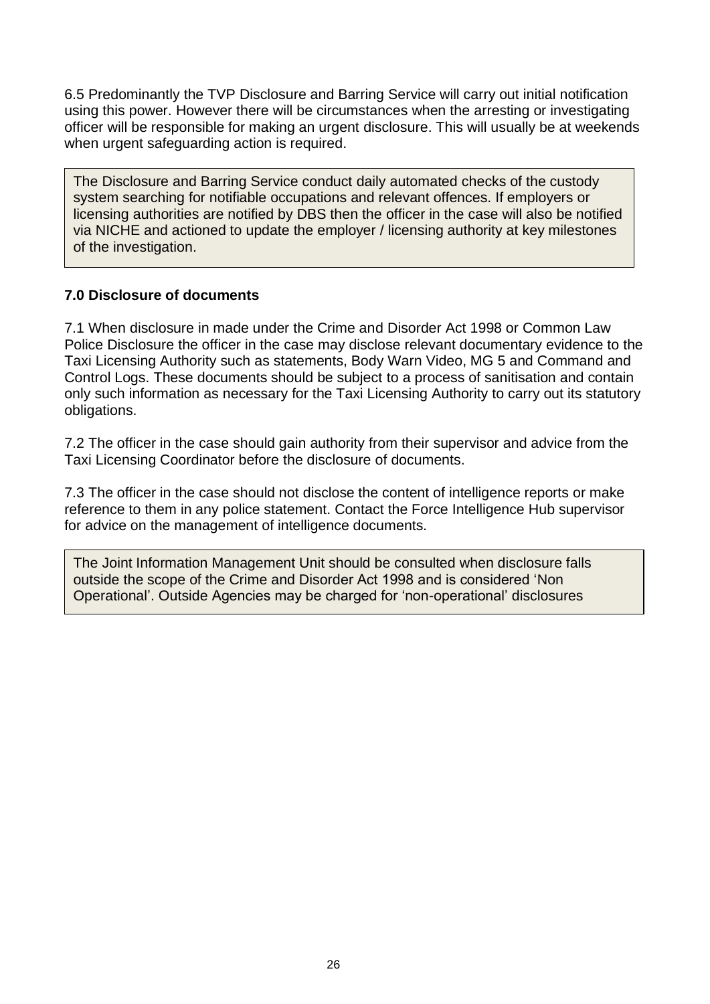6.5 Predominantly the TVP Disclosure and Barring Service will carry out initial notification using this power. However there will be circumstances when the arresting or investigating officer will be responsible for making an urgent disclosure. This will usually be at weekends when urgent safeguarding action is required.

The Disclosure and Barring Service conduct daily automated checks of the custody system searching for notifiable occupations and relevant offences. If employers or licensing authorities are notified by DBS then the officer in the case will also be notified via NICHE and actioned to update the employer / licensing authority at key milestones of the investigation.

### **7.0 Disclosure of documents**

7.1 When disclosure in made under the Crime and Disorder Act 1998 or Common Law Police Disclosure the officer in the case may disclose relevant documentary evidence to the Taxi Licensing Authority such as statements, Body Warn Video, MG 5 and Command and Control Logs. These documents should be subject to a process of sanitisation and contain only such information as necessary for the Taxi Licensing Authority to carry out its statutory obligations.

7.2 The officer in the case should gain authority from their supervisor and advice from the Taxi Licensing Coordinator before the disclosure of documents.

7.3 The officer in the case should not disclose the content of intelligence reports or make reference to them in any police statement. Contact the Force Intelligence Hub supervisor for advice on the management of intelligence documents.

The Joint Information Management Unit should be consulted when disclosure falls outside the scope of the Crime and Disorder Act 1998 and is considered 'Non Operational'. Outside Agencies may be charged for 'non-operational' disclosures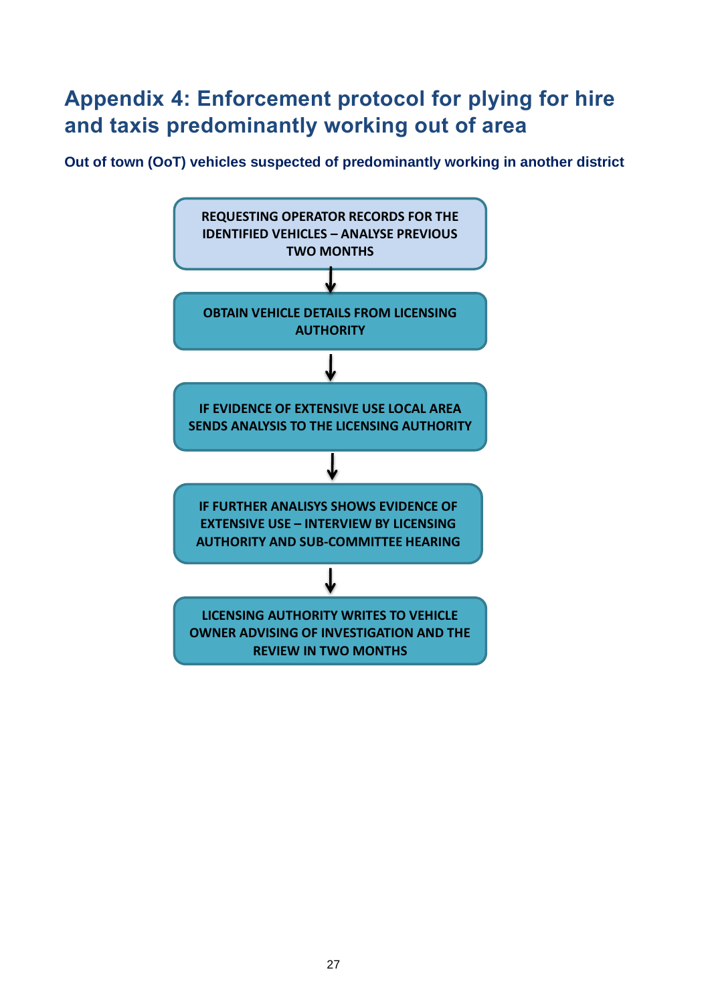## <span id="page-26-0"></span>**Appendix 4: Enforcement protocol for plying for hire and taxis predominantly working out of area**

**Out of town (OoT) vehicles suspected of predominantly working in another district**